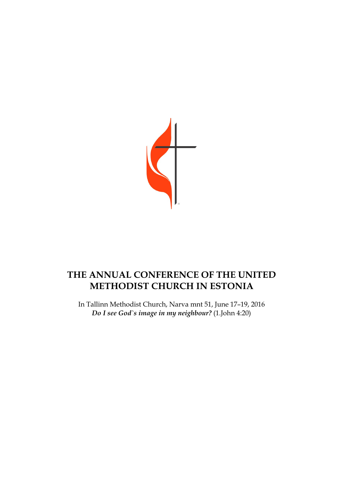

## **THE ANNUAL CONFERENCE OF THE UNITED METHODIST CHURCH IN ESTONIA**

In Tallinn Methodist Church, Narva mnt 51, June 17–19, 2016 *Do I see God`s image in my neighbour?* (1.John 4:20)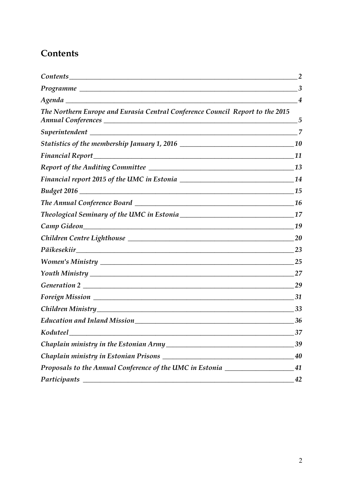## **Contents**

|                                                                                                                                                   | 3          |
|---------------------------------------------------------------------------------------------------------------------------------------------------|------------|
|                                                                                                                                                   | 4          |
| The Northern Europe and Eurasia Central Conference Council Report to the 2015                                                                     | $\sqrt{5}$ |
|                                                                                                                                                   | 7          |
| Statistics of the membership January 1, 2016 ___________________________________                                                                  | <b>10</b>  |
| <u> 1989 - Johann Stoff, deutscher Stoffen und der Stoffen und der Stoffen und der Stoffen und der Stoffen und der</u><br><b>Financial Report</b> | 11         |
|                                                                                                                                                   |            |
|                                                                                                                                                   |            |
|                                                                                                                                                   | 15         |
|                                                                                                                                                   | <b>16</b>  |
|                                                                                                                                                   | 17         |
|                                                                                                                                                   | 19         |
|                                                                                                                                                   | 20         |
|                                                                                                                                                   | 23         |
|                                                                                                                                                   | <b>25</b>  |
|                                                                                                                                                   | 27         |
|                                                                                                                                                   | 29         |
|                                                                                                                                                   | 31         |
|                                                                                                                                                   | 33         |
|                                                                                                                                                   | 36         |
| Koduteel<br><u> 1980 - Johann Stoff, deutscher Stoff, der Stoff, der Stoff, der Stoff, der Stoff, der Stoff, der Stoff, der S</u>                 | 37         |
|                                                                                                                                                   | 39         |
|                                                                                                                                                   | 40         |
| Proposals to the Annual Conference of the UMC in Estonia _______________________                                                                  | 41         |
| Participants                                                                                                                                      | 42         |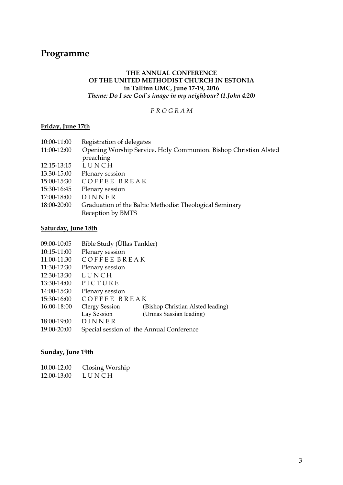### **Programme**

#### **THE ANNUAL CONFERENCE OF THE UNITED METHODIST CHURCH IN ESTONIA in Tallinn UMC, June 17-19, 2016**  *Theme: Do I see God`s image in my neighbour? (1.John 4:20)*

*P R O G R A M* 

#### **Friday, June 17th**

| 10:00-11:00 | Registration of delegates                                        |
|-------------|------------------------------------------------------------------|
| 11:00-12:00 | Opening Worship Service, Holy Communion. Bishop Christian Alsted |
|             | preaching                                                        |
| 12:15-13:15 | LUNCH                                                            |
| 13:30-15:00 | Plenary session                                                  |
| 15:00-15:30 | COFFEE BREAK                                                     |
| 15:30-16:45 | Plenary session                                                  |
| 17:00-18:00 | DINNER                                                           |
| 18:00-20:00 | Graduation of the Baltic Methodist Theological Seminary          |
|             | Reception by BMTS                                                |
|             |                                                                  |

### **Saturday, June 18th**

| 09:00-10:05 | Bible Study (Üllas Tankler)              |                                   |
|-------------|------------------------------------------|-----------------------------------|
| 10:15-11:00 | Plenary session                          |                                   |
| 11:00-11:30 | <b>COFFEE BREAK</b>                      |                                   |
| 11:30-12:30 | Plenary session                          |                                   |
| 12:30-13:30 | LUNCH                                    |                                   |
| 13:30-14:00 | PICTURE                                  |                                   |
| 14:00-15:30 | Plenary session                          |                                   |
| 15:30-16:00 | COFFEE BREAK                             |                                   |
| 16:00-18:00 | <b>Clergy Session</b>                    | (Bishop Christian Alsted leading) |
|             | Lay Session                              | (Urmas Sassian leading)           |
| 18:00-19:00 | DINNER                                   |                                   |
| 19:00-20:00 | Special session of the Annual Conference |                                   |
|             |                                          |                                   |

#### **Sunday, June 19th**

| 10:00-12:00 | Closing Worship |
|-------------|-----------------|
| 12:00-13:00 | LUNCH           |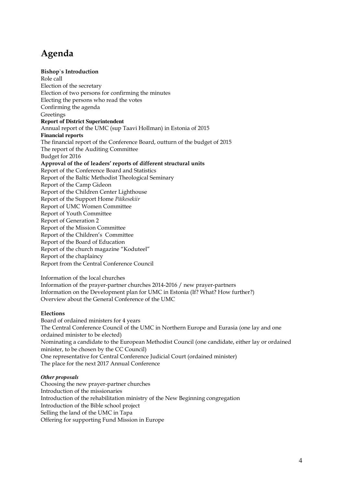## **Agenda**

#### **Bishop`s Introduction**

Role call Election of the secretary Election of two persons for confirming the minutes Electing the persons who read the votes Confirming the agenda **Greetings Report of District Superintendent**  Annual report of the UMC (sup Taavi Hollman) in Estonia of 2015 **Financial reports**  The financial report of the Conference Board, outturn of the budget of 2015 The report of the Auditing Committee Budget for 2016 **Approval of the of leaders' reports of different structural units**  Report of the Conference Board and Statistics Report of the Baltic Methodist Theological Seminary Report of the Camp Gideon Report of the Children Center Lighthouse Report of the Support Home *Päikesekiir* Report of UMC Women Committee Report of Youth Committee Report of Generation 2 Report of the Mission Committee Report of the Children's Committee Report of the Board of Education Report of the church magazine "Koduteel" Report of the chaplaincy Report from the Central Conference Council

Information of the local churches Information of the prayer-partner churches 2014-2016 / new prayer-partners Information on the Development plan for UMC in Estonia (If? What? How further?) Overview about the General Conference of the UMC

#### **Elections**

Board of ordained ministers for 4 years The Central Conference Council of the UMC in Northern Europe and Eurasia (one lay and one ordained minister to be elected) Nominating a candidate to the European Methodist Council (one candidate, either lay or ordained minister, to be chosen by the CC Council) One representative for Central Conference Judicial Court (ordained minister) The place for the next 2017 Annual Conference

#### *Other proposals*

Choosing the new prayer-partner churches Introduction of the missionaries Introduction of the rehabilitation ministry of the New Beginning congregation Introduction of the Bible school project Selling the land of the UMC in Tapa Offering for supporting Fund Mission in Europe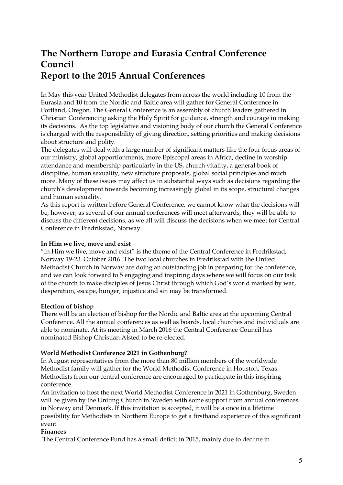## **The Northern Europe and Eurasia Central Conference Council Report to the 2015 Annual Conferences**

In May this year United Methodist delegates from across the world including 10 from the Eurasia and 10 from the Nordic and Baltic area will gather for General Conference in Portland, Oregon. The General Conference is an assembly of church leaders gathered in Christian Conferencing asking the Holy Spirit for guidance, strength and courage in making its decisions. As the top legislative and visioning body of our church the General Conference is charged with the responsibility of giving direction, setting priorities and making decisions about structure and polity.

The delegates will deal with a large number of significant matters like the four focus areas of our ministry, global apportionments, more Episcopal areas in Africa, decline in worship attendance and membership particularly in the US, church vitality, a general book of discipline, human sexuality, new structure proposals, global social principles and much more. Many of these issues may affect us in substantial ways such as decisions regarding the church's development towards becoming increasingly global in its scope, structural changes and human sexuality.

As this report is written before General Conference, we cannot know what the decisions will be, however, as several of our annual conferences will meet afterwards, they will be able to discuss the different decisions, as we all will discuss the decisions when we meet for Central Conference in Fredrikstad, Norway.

#### **In Him we live, move and exist**

"In Him we live, move and exist" is the theme of the Central Conference in Fredrikstad, Norway 19-23. October 2016. The two local churches in Fredrikstad with the United Methodist Church in Norway are doing an outstanding job in preparing for the conference, and we can look forward to 5 engaging and inspiring days where we will focus on our task of the church to make disciples of Jesus Christ through which God's world marked by war, desperation, escape, hunger, injustice and sin may be transformed.

### **Election of bishop**

There will be an election of bishop for the Nordic and Baltic area at the upcoming Central Conference. All the annual conferences as well as boards, local churches and individuals are able to nominate. At its meeting in March 2016 the Central Conference Council has nominated Bishop Christian Alsted to be re-elected.

### **World Methodist Conference 2021 in Gothenburg?**

In August representatives from the more than 80 million members of the worldwide Methodist family will gather for the World Methodist Conference in Houston, Texas. Methodists from our central conference are encouraged to participate in this inspiring conference.

An invitation to host the next World Methodist Conference in 2021 in Gothenburg, Sweden will be given by the Uniting Church in Sweden with some support from annual conferences in Norway and Denmark. If this invitation is accepted, it will be a once in a lifetime possibility for Methodists in Northern Europe to get a firsthand experience of this significant event

#### **Finances**

The Central Conference Fund has a small deficit in 2015, mainly due to decline in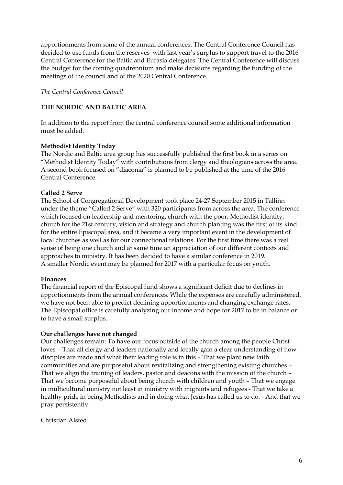apportionments from some of the annual conferences. The Central Conference Council has decided to use funds from the reserves with last year's surplus to support travel to the 2016 Central Conference for the Baltic and Eurasia delegates. The Central Conference will discuss the budget for the coming quadrennium and make decisions regarding the funding of the meetings of the council and of the 2020 Central Conference.

*The Central Conference Council* 

### **THE NORDIC AND BALTIC AREA**

In addition to the report from the central conference council some additional information must be added.

#### **Methodist Identity Today**

The Nordic and Baltic area group has successfully published the first book in a series on "Methodist Identity Today" with contributions from clergy and theologians across the area. A second book focused on "diaconia" is planned to be published at the time of the 2016 Central Conference.

#### **Called 2 Serve**

The School of Congregational Development took place 24-27 September 2015 in Tallinn under the theme "Called 2 Serve" with 320 participants from across the area. The conference which focused on leadership and mentoring, church with the poor, Methodist identity, church for the 21st century, vision and strategy and church planting was the first of its kind for the entire Episcopal area, and it became a very important event in the development of local churches as well as for our connectional relations. For the first time there was a real sense of being one church and at same time an appreciation of our different contexts and approaches to ministry. It has been decided to have a similar conference in 2019. A smaller Nordic event may be planned for 2017 with a particular focus on youth.

#### **Finances**

The financial report of the Episcopal fund shows a significant deficit due to declines in apportionments from the annual conferences. While the expenses are carefully administered, we have not been able to predict declining apportionments and changing exchange rates. The Episcopal office is carefully analyzing our income and hope for 2017 to be in balance or to have a small surplus.

#### **Our challenges have not changed**

Our challenges remain: To have our focus outside of the church among the people Christ loves - That all clergy and leaders nationally and locally gain a clear understanding of how disciples are made and what their leading role is in this – That we plant new faith communities and are purposeful about revitalizing and strengthening existing churches – That we align the training of leaders, pastor and deacons with the mission of the church – That we become purposeful about being church with children and youth – That we engage in multicultural ministry not least in ministry with migrants and refugees - That we take a healthy pride in being Methodists and in doing what Jesus has called us to do. - And that we pray persistently.

Christian Alsted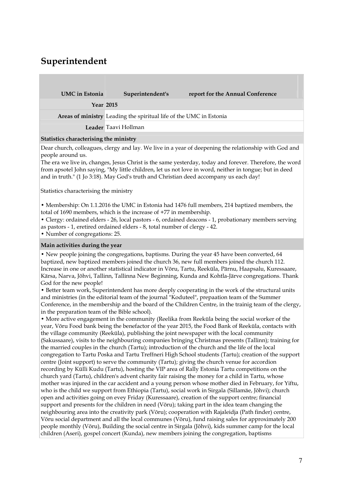## **Superintendent**

| <b>UMC</b> in Estonia | Superintendent's                                                   | report for the Annual Conference |  |  |  |
|-----------------------|--------------------------------------------------------------------|----------------------------------|--|--|--|
|                       | <b>Year 2015</b>                                                   |                                  |  |  |  |
|                       | Areas of ministry Leading the spiritual life of the UMC in Estonia |                                  |  |  |  |
|                       | Leader Taavi Hollman                                               |                                  |  |  |  |
|                       |                                                                    |                                  |  |  |  |

#### **Statistics characterising the ministry**

Dear church, colleagues, clergy and lay. We live in a year of deepening the relationship with God and people around us.

The era we live in, changes, Jesus Christ is the same yesterday, today and forever. Therefore, the word from apsotel John saying, "My little children, let us not love in word, neither in tongue; but in deed and in truth." (1 Jo 3:18). May God's truth and Christian deed accompany us each day!

Statistics characterising the ministry

• Membership: On 1.1.2016 the UMC in Estonia had 1476 full members, 214 baptized members, the total of 1690 members, which is the increase of +77 in membership.

• Clergy: ordained elders - 26, local pastors - 6, ordained deacons - 1, probationary members serving as pastors - 1, eretired ordained elders - 8, total number of clergy - 42.

• Number of congregations: 25.

#### **Main activities during the year**

• New people joining the congregations, baptisms. During the year 45 have been converted, 64 baptized, new baptized members joined the church 36, new full members joined the church 112. Increase in one or another statistical indicator in Võru, Tartu, Reeküla, Pärnu, Haapsalu, Kuressaare, Kärsa, Narva, Jõhvi, Tallinn, Tallinna New Beginning, Kunda and Kohtla-Järve congregations. Thank God for the new people!

• Better team work, Superintendent has more deeply cooperating in the work of the structural units and ministries (in the editorial team of the journal "Koduteel", prepaation team of the Summer Conference, in the membership and the board of the Children Centre, in the trainig team of the clergy, in the preparation team of the Bible school).

• More active engagement in the community (Reelika from Reeküla being the social worker of the year, Võru Food bank being the benefactor of the year 2015, the Food Bank of Reeküla, contacts with the village community (Reeküla), publishing the joint newspaper with the local community (Sakussaare), visits to the neighbouring companies bringing Christmas presents (Tallinn); training for the married couples in the church (Tartu); introduction of the church and the life of the local congregation to Tartu Poska and Tartu Treffneri High School students (Tartu); creation of the support centre (Joint support) to serve the community (Tartu); giving the church venue for accordion recording by Külli Kudu (Tartu), hosting the VIP area of Rally Estonia Tartu competitions on the church yard (Tartu), children's advent charity fair raising the money for a child in Tartu, whose mother was injured in the car accident and a young person whose mother died in February, for Yiftu, who is the child we support from Ethiopia (Tartu), social work in Sirgala (Sillamäe, Jõhvi); church open and activities going on evey Friday (Kuressaare), creation of the support centre; financial support and presents for the children in need (Võru); taking part in the idea team changing the neighbouring area into the creativity park (Võru); cooperation with Rajaleidja (Path finder) centre, Võru social department and all the local communes (Võru), fund raising sales for approximately 200 people monthly (Võru), Building the social centre in Sirgala (Jõhvi), kids summer camp for the local children (Aseri), gospel concert (Kunda), new members joining the congregation, baptisms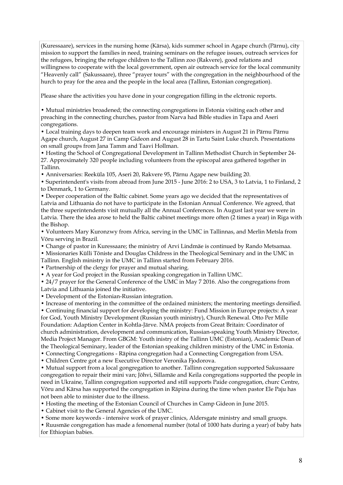(Kuressaare), services in the nursing home (Kärsa), kids summer school in Agape church (Pärnu), city mission to support the families in need, training seminars on the refugee issues, outreach services for the refugees, bringing the refugee children to the Tallinn zoo (Rakvere), good relations and willingness to cooperate with the local government, open air outreach service for the local community "Heavenly call" (Sakussaare), three "prayer tours" with the congregation in the neighbourhood of the hurch to pray for the area and the people in the local area (Tallinn, Estonian congregation).

Please share the activities you have done in your congregation filling in the elctronic reports.

• Mutual ministries broadened; the connecting congregations in Estonia visiting each other and preaching in the connecting churches, pastor from Narva had Bible studies in Tapa and Aseri congregations.

• Local training days to deepen team work and encourage ministers in August 21 in Pärnu Pärnu Agape church, August 27 in Camp Gideon and August 28 in Tartu Saint Luke church. Presentations on small groups from Jana Tamm and Taavi Hollman.

• Hosting the School of Congregational Development in Tallinn Methodist Church in September 24- 27. Approximately 320 people including volunteers from the episcopal area gathered together in Tallinn.

• Anniversaries: Reeküla 105, Aseri 20, Rakvere 95, Pärnu Agape new building 20.

• Superintendent's visits from abroad from June 2015 - June 2016: 2 to USA, 3 to Latvia, 1 to Finland, 2 to Denmark, 1 to Germany.

• Deeper cooperation of the Baltic cabinet. Some years ago we decided that the representatives of Latvia and Lithuania do not have to participate in the Estonian Annual Conference. We agreed, that the three superintendents visit mutually all the Annual Conferences. In August last year we were in Latvia. There the idea arose to held the Baltic cabinet meetings more often (2 times a year) in Riga with the Bishop.

• Volunteers Mary Kuronzwy from Africa, serving in the UMC in Tallinnas, and Merlin Metsla from Võru serving in Brazil.

• Change of pastor in Kuressaare; the ministry of Arvi Lindmäe is continued by Rando Metsamaa.

• Missionaries Külli Tõniste and Douglas Childress in the Theological Seminary and in the UMC in

Tallinn. English ministry in the UMC in Tallinn started from February 2016.

• Partnership of the clergy for prayer and mutual sharing.

• A year for God project in the Russian speaking congregation in Tallinn UMC.

• 24/7 prayer for the General Conference of the UMC in May 7 2016. Also the congregations from Latvia and Lithuania joined the initiative.

• Development of the Estonian-Russian integration.

• Increase of mentoring in the committee of the ordained ministers; the mentoring meetings densified. • Continuing financial support for developing the ministry: Fund Mission in Europe projects: A year for God, Youth Ministry Development (Russian youth ministry), Church Renewal. Otto Per Mille Foundation: Adaption Center in Kohtla-Järve. NMA projects from Great Britain: Coordinator of church administration, development and communication, Russian-speaking Youth Ministry Director, Media Project Manager. From GBGM: Youth inistry of the Tallinn UMC (Estonian), Academic Dean of the Theological Seminary, leader of the Estonian speaking children ministry of the UMC in Estonia.

• Connecting Congregations - Räpina congregation had a Connecting Congregation from USA.

• Children Centre got a new Executive Director Veronika Fjodorova.

• Mutual support from a local gongregation to another. Tallinn congregation supported Sakussaare congregation to repair their mini van; Jõhvi, Sillamäe and Keila congregations supported the people in need in Ukraine, Tallinn congregation supported and still supports Paide congregation, churc Centre, Võru and Kärsa has supported the congregation in Räpina during the time when pastor Ele Paju has not been able to minister due to the illness.

• Hosting the meeting of the Estonian Council of Churches in Camp Gideon in June 2015.

• Cabinet visit to the General Agencies of the UMC.

• Some more keywords - intensive work of prayer clinics, Aldersgate ministry and small gruops.

• Ruusmäe congregation has made a fenomenal number (total of 1000 hats during a year) of baby hats for Ethiopian babies.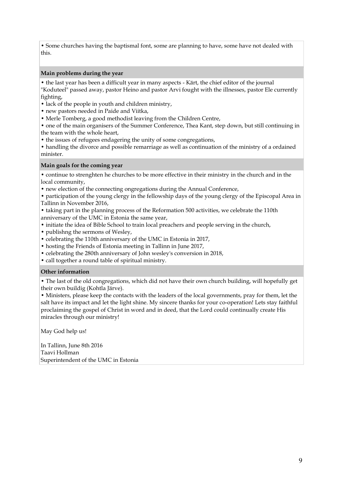• Some churches having the baptismal font, some are planning to have, some have not dealed with this.

#### **Main problems during the year**

• the last year has been a difficult year in many aspects - Kärt, the chief editor of the journal

"Koduteel" passed away, pastor Heino and pastor Arvi fought with the illnesses, pastor Ele currently fighting,

• lack of the people in youth and children ministry,

- new pastors needed in Paide and Viitka,
- Merle Tomberg, a good methodist leaving from the Children Centre,

• one of the main organisers of the Summer Conference, Thea Kant, step down, but still continuing in the team with the whole heart,

• the issues of refugees endagering the unity of some congregations,

• handling the divorce and possible remarriage as well as continuation of the ministry of a ordained minister.

#### **Main goals for the coming year**

• continue to strenghten he churches to be more effective in their ministry in the church and in the local community,

• new election of the connecting ongregations during the Annual Conference,

• participation of the young clergy in the fellowship days of the young clergy of the Episcopal Area in Tallinn in November 2016,

• taking part in the planning process of the Reformation 500 activities, we celebrate the 110th anniversary of the UMC in Estonia the same year,

- initiate the idea of Bible School to train local preachers and people serving in the church,
- publishng the sermons of Wesley,
- celebrating the 110th anniversary of the UMC in Estonia in 2017,
- hosting the Friends of Estonia meeting in Tallinn in June 2017,
- celebrating the 280th anniversary of John wesley's conversion in 2018,
- call together a round table of spiritual ministry.

#### **Other information**

• The last of the old congregations, which did not have their own church building, will hopefully get their own buildig (Kohtla Järve).

• Ministers, please keep the contacts with the leaders of the local governments, pray for them, let the salt have its impact and let the light shine. My sincere thanks for your co-operation! Lets stay faithful proclaiming the gospel of Christ in word and in deed, that the Lord could continually create His miracles through our ministry!

May God help us!

In Tallinn, June 8th 2016 Taavi Hollman Superintendent of the UMC in Estonia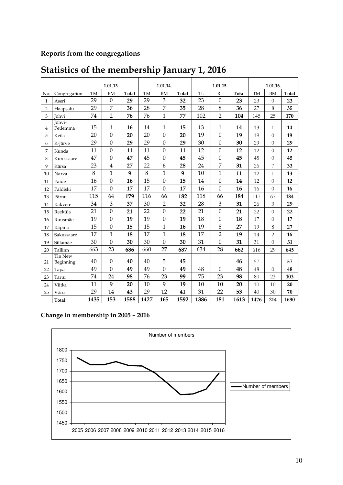### **Reports from the congregations**

|                |                    |           | 1.01.13.         |       |           | 1.01.14.         |       |      | 1.01.15.         |              |           | 1.01.16.       |       |
|----------------|--------------------|-----------|------------------|-------|-----------|------------------|-------|------|------------------|--------------|-----------|----------------|-------|
| No.            | Congregation       | <b>TM</b> | <b>BM</b>        | Total | <b>TM</b> | <b>BM</b>        | Total | TL   | RL               | <b>Total</b> | <b>TM</b> | <b>BM</b>      | Total |
| 1              | Aseri              | 29        | $\theta$         | 29    | 29        | 3                | 32    | 23   | $\boldsymbol{0}$ | 23           | 23        | $\overline{0}$ | 23    |
| $\overline{2}$ | Haapsalu           | 29        | 7                | 36    | 28        | 7                | 35    | 28   | 8                | 36           | 27        | 8              | 35    |
| 3              | Jõhvi              | 74        | $\overline{2}$   | 76    | 76        | $\mathbf{1}$     | 77    | 102  | $\overline{2}$   | 104          | 145       | 25             | 170   |
| 4              | Jõhvi-<br>Petlemma | 15        | 1                | 16    | 14        | $\mathbf{1}$     | 15    | 13   | 1                | 14           | 13        | 1              | 14    |
| 5              | Keila              | 20        | $\boldsymbol{0}$ | 20    | 20        | $\mathbf{0}$     | 20    | 19   | $\mathbf{0}$     | 19           | 19        | $\Omega$       | 19    |
| 6              | K-Järve            | 29        | $\boldsymbol{0}$ | 29    | 29        | $\boldsymbol{0}$ | 29    | 30   | $\boldsymbol{0}$ | 30           | 29        | $\theta$       | 29    |
| 7              | Kunda              | 11        | $\mathbf{0}$     | 11    | 11        | $\mathbf{0}$     | 11    | 12   | $\mathbf{0}$     | 12           | 12        | $\Omega$       | 12    |
| 8              | Kuressaare         | 47        | $\mathbf{0}$     | 47    | 45        | $\boldsymbol{0}$ | 45    | 45   | $\mathbf{0}$     | 45           | 45        | $\theta$       | 45    |
| 9              | Kärsa              | 23        | 4                | 27    | 22        | 6                | 28    | 24   | 7                | 31           | 26        | 7              | 33    |
| 10             | Narva              | 8         | 1                | 9     | 8         | $\mathbf{1}$     | 9     | 10   | $\mathbf{1}$     | 11           | 12        | $\mathbf{1}$   | 13    |
| 11             | Paide              | 16        | $\boldsymbol{0}$ | 16    | 15        | $\mathbf{0}$     | 15    | 14   | $\boldsymbol{0}$ | 14           | 12        | $\theta$       | 12    |
| 12             | Paldiski           | 17        | $\overline{0}$   | 17    | 17        | $\mathbf{0}$     | 17    | 16   | $\theta$         | 16           | 16        | $\theta$       | 16    |
| 13             | Pärnu              | 115       | 64               | 179   | 116       | 66               | 182   | 118  | 66               | 184          | 117       | 67             | 184   |
| 14             | Rakvere            | 34        | 3                | 37    | 30        | $\overline{2}$   | 32    | 28   | $\mathfrak{B}$   | 31           | 26        | 3              | 29    |
| 15             | Reeküla            | 21        | $\mathbf{0}$     | 21    | 22        | $\mathbf{0}$     | 22    | 21   | $\mathbf{0}$     | 21           | 22        | $\overline{0}$ | 22    |
| 16             | Ruusmäe            | 19        | $\mathbf{0}$     | 19    | 19        | $\mathbf{0}$     | 19    | 18   | $\mathbf{0}$     | 18           | 17        | $\theta$       | 17    |
| 17             | Räpina             | 15        | 0                | 15    | 15        | $\mathbf{1}$     | 16    | 19   | 8                | 27           | 19        | 8              | 27    |
| 18             | Sakussaare         | 17        | 1                | 18    | 17        | $\mathbf{1}$     | 18    | 17   | $\overline{2}$   | 19           | 14        | $\overline{2}$ | 16    |
| 19             | Sillamäe           | 30        | $\mathbf{0}$     | 30    | 30        | $\Omega$         | 30    | 31   | $\mathbf{0}$     | 31           | 31        | $\theta$       | 31    |
| 20             | Tallinn            | 663       | 23               | 686   | 660       | 27               | 687   | 634  | 28               | 662          | 616       | 29             | 645   |
|                | Tln New            | 40        | $\boldsymbol{0}$ | 40    | 40        | 5                | 45    |      |                  | 46           | 57        |                | 57    |
| 21             | Beginning          | 49        | 0                | 49    | 49        | $\boldsymbol{0}$ | 49    | 48   | $\theta$         | 48           |           | $\Omega$       |       |
| 22             | Tapa               | 74        | 24               | 98    | 76        | 23               | 99    | 75   |                  | 98           | 48<br>80  | 23             | 48    |
| 23             | Tartu              |           | 9                |       |           | 9                |       |      | 23               |              |           |                | 103   |
| 24             | Viitka             | 11<br>29  |                  | 20    | 10<br>29  | 12               | 19    | 10   | 10<br>22         | 20<br>53     | 10        | 10             | 20    |
| 25             | Võru               |           | 14               | 43    |           |                  | 41    | 31   |                  |              | 40        | 30             | 70    |
|                | <b>Total</b>       | 1435      | 153              | 1588  | 1427      | 165              | 1592  | 1386 | 181              | 1613         | 1476      | 214            | 1690  |

## **Statistics of the membership January 1, 2016**

### **Change in membership in 2005 – 2016**

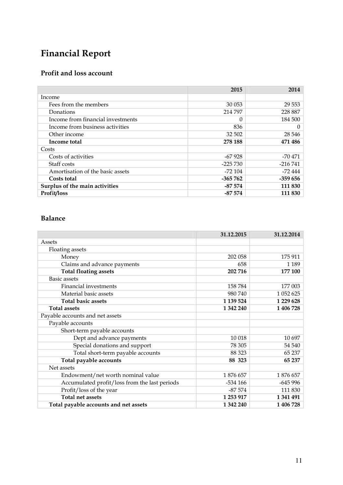# **Financial Report**

### **Profit and loss account**

|                                   | 2015        | 2014      |
|-----------------------------------|-------------|-----------|
| Income                            |             |           |
| Fees from the members             | 30 053      | 29 5 53   |
| Donations                         | 214 797     | 228 887   |
| Income from financial investments |             | 184 500   |
| Income from business activities   | 836         | 0         |
| Other income                      | 32 502      | 28 546    |
| Income total                      | 278 188     | 471 486   |
| Costs                             |             |           |
| Costs of activities               | $-67928$    | -70 471   |
| Staff costs                       | $-225\,730$ | $-216741$ |
| Amortisation of the basic assets  | -72 104     | -72 444   |
| Costs total                       | $-365\,762$ | $-359656$ |
| Surplus of the main activities    | $-87574$    | 111 830   |
| Profit/loss                       | $-87574$    | 111 830   |

### **Balance**

|                                               | 31.12.2015 | 31.12.2014 |
|-----------------------------------------------|------------|------------|
| Assets                                        |            |            |
| Floating assets                               |            |            |
| Money                                         | 202 058    | 175 911    |
| Claims and advance payments                   | 658        | 1 1 8 9    |
| <b>Total floating assets</b>                  | 202 716    | 177 100    |
| <b>Basic</b> assets                           |            |            |
| Financial investments                         | 158784     | 177 003    |
| Material basic assets                         | 980 740    | 1 052 625  |
| <b>Total basic assets</b>                     | 1 139 524  | 1 229 628  |
| <b>Total assets</b>                           | 1 342 240  | 1 406 728  |
| Payable accounts and net assets               |            |            |
| Payable accounts                              |            |            |
| Short-term payable accounts                   |            |            |
| Dept and advance payments                     | 10 018     | 10 697     |
| Special donations and support                 | 78 305     | 54 540     |
| Total short-term payable accounts             | 88 323     | 65 237     |
| Total payable accounts                        | 88 323     | 65 237     |
| Net assets                                    |            |            |
| Endowment/net worth nominal value             | 1876 657   | 1876 657   |
| Accumulated profit/loss from the last periods | $-534166$  | $-645996$  |
| Profit/loss of the year                       | $-87574$   | 111 830    |
| Total net assets                              | 1 253 917  | 1 341 491  |
| Total payable accounts and net assets         | 1 342 240  | 1 406 728  |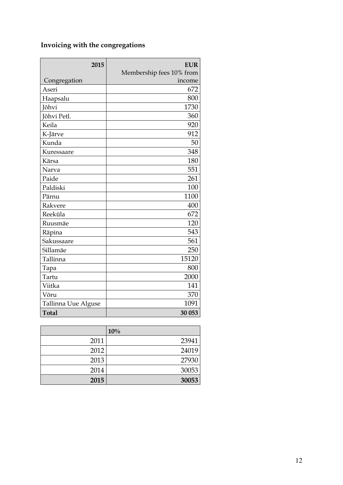### **Invoicing with the congregations**

| 2015                | <b>EUR</b>               |
|---------------------|--------------------------|
|                     | Membership fees 10% from |
| Congregation        | income                   |
| Aseri               | 672                      |
| Haapsalu            | 800                      |
| Jõhvi               | 1730                     |
| Jõhvi Petl.         | 360                      |
| Keila               | 920                      |
| K-Järve             | 912                      |
| Kunda               | 50                       |
| Kuressaare          | 348                      |
| Kärsa               | 180                      |
| Narva               | 551                      |
| Paide               | 261                      |
| Paldiski            | 100                      |
| Pärnu               | 1100                     |
| Rakvere             | 400                      |
| Reeküla             | 672                      |
| Ruusmäe             | 120                      |
| Räpina              | 543                      |
| Sakussaare          | 561                      |
| Sillamäe            | 250                      |
| Tallinna            | 15120                    |
| Tapa                | 800                      |
| Tartu               | 2000                     |
| Viitka              | 141                      |
| Võru                | 370                      |
| Tallinna Uue Alguse | 1091                     |
| <b>Total</b>        | 30 053                   |

|      | 10%   |
|------|-------|
| 2011 | 23941 |
| 2012 | 24019 |
| 2013 | 27930 |
| 2014 | 30053 |
| 2015 | 30053 |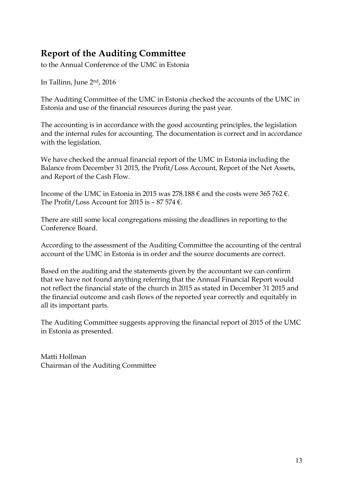## **Report of the Auditing Committee**

to the Annual Conference of the UMC in Estonia

In Tallinn, June 2nd, 2016

The Auditing Committee of the UMC in Estonia checked the accounts of the UMC in Estonia and use of the financial resources during the past year.

The accounting is in accordance with the good accounting principles, the legislation and the internal rules for accounting. The documentation is correct and in accordance with the legislation.

We have checked the annual financial report of the UMC in Estonia including the Balance from December 31 2015, the Profit/Loss Account, Report of the Net Assets, and Report of the Cash Flow.

Income of the UMC in Estonia in 2015 was 278.188  $\epsilon$  and the costs were 365 762  $\epsilon$ . The Profit/Loss Account for 2015 is  $-87574 \epsilon$ .

There are still some local congregations missing the deadlines in reporting to the Conference Board.

According to the assessment of the Auditing Committee the accounting of the central account of the UMC in Estonia is in order and the source documents are correct.

Based on the auditing and the statements given by the accountant we can confirm that we have not found anything referring that the Annual Financial Report would not reflect the financial state of the church in 2015 as stated in December 31 2015 and the financial outcome and cash flows of the reported year correctly and equitably in all its important parts.

The Auditing Committee suggests approving the financial report of 2015 of the UMC in Estonia as presented.

Matti Hollman Chairman of the Auditing Committee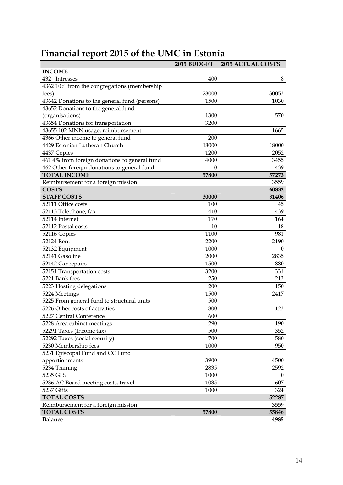|  | Financial report 2015 of the UMC in Estonia |  |  |  |
|--|---------------------------------------------|--|--|--|
|--|---------------------------------------------|--|--|--|

|                                               | 2015 BUDGET | <b>2015 ACTUAL COSTS</b> |
|-----------------------------------------------|-------------|--------------------------|
| <b>INCOME</b>                                 |             |                          |
| 432 Intresses                                 | 400         | 8                        |
| 4362 10% from the congregations (membership   |             |                          |
| fees)                                         | 28000       | 30053                    |
| 43642 Donations to the general fund (persons) | 1500        | 1030                     |
| 43652 Donations to the general fund           |             |                          |
| (organisations)                               | 1300        | 570                      |
| 43654 Donations for transportation            | 3200        |                          |
| 43655 102 MNN usage, reimbursement            |             | 1665                     |
| 4366 Other income to general fund             | 200         |                          |
| 4429 Estonian Lutheran Church                 | 18000       | 18000                    |
| 4437 Copies                                   | 1200        | 2052                     |
| 461 4% from foreign donations to general fund | 4000        | 3455                     |
| 462 Other foreign donations to general fund   | $\Omega$    | 439                      |
| <b>TOTAL INCOME</b>                           | 57800       | 57273                    |
| Reimbursement for a foreign mission           |             | 3559                     |
| <b>COSTS</b>                                  |             | 60832                    |
| <b>STAFF COSTS</b>                            | 30000       | 31406                    |
| 52111 Office costs                            | 100         | 45                       |
| 52113 Telephone, fax                          | 410         | 439                      |
| 52114 Internet                                | 170         | 164                      |
| 52112 Postal costs                            | 10          | 18                       |
| 52116 Copies                                  | 1100        | 981                      |
| 52124 Rent                                    | 2200        | 2190                     |
| 52132 Equipment                               | 1000        | $\Omega$                 |
| 52141 Gasoline                                | 2000        | 2835                     |
| 52142 Car repairs                             | 1500        | 880                      |
| 52151 Transportation costs                    | 3200        | 331                      |
| 5221 Bank fees                                | 250         | 213                      |
| 5223 Hosting delegations                      | 200         | 150                      |
| 5224 Meetings                                 | 1500        | 2417                     |
| 5225 From general fund to structural units    | 500         |                          |
| 5226 Other costs of activities                | 800         | 123                      |
| 5227 Central Conference                       | 600         |                          |
| 5228 Area cabinet meetings                    | 290         | 190                      |
| 52291 Taxes (Income tax)                      | 500         | 352                      |
| 52292 Taxes (social security)                 | 700         | 580                      |
| 5230 Membership fees                          | 1000        | 950                      |
| 5231 Episcopal Fund and CC Fund               |             |                          |
| apportionments                                | 3900        | 4500                     |
| 5234 Training                                 | 2835        | 2592                     |
| 5235 GLS                                      | 1000        | $\theta$                 |
| 5236 AC Board meeting costs, travel           | 1035        | 607                      |
| 5237 Gifts                                    | 1000        | 324                      |
| <b>TOTAL COSTS</b>                            |             | 52287                    |
| Reimbursement for a foreign mission           |             | 3559                     |
| <b>TOTAL COSTS</b>                            | 57800       | 55846                    |
| <b>Balance</b>                                |             | 4985                     |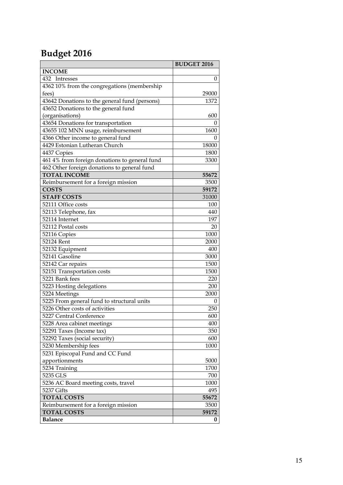# **Budget 2016**

|                                                       | <b>BUDGET 2016</b> |
|-------------------------------------------------------|--------------------|
| <b>INCOME</b>                                         |                    |
| 432 Intresses                                         | $\theta$           |
| 4362 10% from the congregations (membership           |                    |
| fees)                                                 | 29000              |
| 43642 Donations to the general fund (persons)         | 1372               |
| 43652 Donations to the general fund                   |                    |
| (organisations)                                       | 600                |
| 43654 Donations for transportation                    | 0                  |
| 43655 102 MNN usage, reimbursement                    | 1600               |
| 4366 Other income to general fund                     | $\mathbf{0}$       |
| 4429 Estonian Lutheran Church                         | 18000              |
| 4437 Copies                                           | 1800               |
| 461 4% from foreign donations to general fund         | 3300               |
| 462 Other foreign donations to general fund           |                    |
| <b>TOTAL INCOME</b>                                   | 55672              |
| Reimbursement for a foreign mission                   | 3500               |
| <b>COSTS</b>                                          | 59172              |
| <b>STAFF COSTS</b>                                    | 31000              |
| 52111 Office costs                                    | 100                |
| 52113 Telephone, fax                                  | 440                |
| 52114 Internet                                        | 197                |
| 52112 Postal costs                                    | 20                 |
| 52116 Copies                                          | 1000               |
| 52124 Rent                                            | 2000               |
| 52132 Equipment                                       | 400                |
| 52141 Gasoline                                        | 3000               |
| 52142 Car repairs                                     | 1500               |
| 52151 Transportation costs                            | 1500               |
| 5221 Bank fees                                        | 220                |
| 5223 Hosting delegations                              | 200                |
| 5224 Meetings                                         | 2000               |
| 5225 From general fund to structural units            | 0                  |
| 5226 Other costs of activities                        | 250                |
| 5227 Central Conference                               | 600                |
| 5228 Area cabinet meetings                            | 400                |
| 52291 Taxes (Income tax)                              | 350<br>600         |
| 52292 Taxes (social security)<br>5230 Membership fees |                    |
| 5231 Episcopal Fund and CC Fund                       | 1000               |
| apportionments                                        | 5000               |
| 5234 Training                                         | 1700               |
| 5235 GLS                                              | 700                |
| 5236 AC Board meeting costs, travel                   | 1000               |
| 5237 Gifts                                            | 495                |
| <b>TOTAL COSTS</b>                                    | 55672              |
| Reimbursement for a foreign mission                   | 3500               |
| <b>TOTAL COSTS</b>                                    | 59172              |
| <b>Balance</b>                                        | 0                  |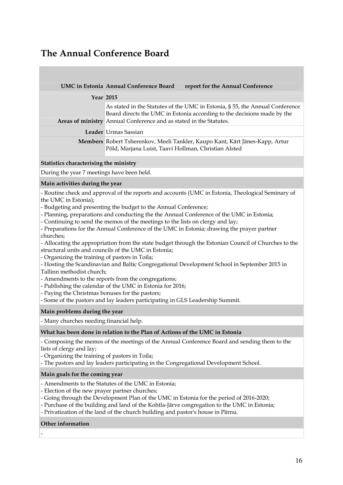### **The Annual Conference Board**

|                  | UMC in Estonia Annual Conference Board                             | report for the Annual Conference                                                                                                                        |
|------------------|--------------------------------------------------------------------|---------------------------------------------------------------------------------------------------------------------------------------------------------|
| <b>Year 2015</b> |                                                                    |                                                                                                                                                         |
|                  | Areas of ministry Annual Conference and as stated in the Statutes. | As stated in the Statutes of the UMC in Estonia, § 55, the Annual Conference<br>Board directs the UMC in Estonia according to the decisions made by the |
|                  | Leader Urmas Sassian                                               |                                                                                                                                                         |
|                  | Põld, Marjana Luist, Taavi Hollman, Christian Alsted               | <b>Members</b> Robert Tsherenkov, Meeli Tankler, Kaupo Kant, Kärt Jänes-Kapp, Artur                                                                     |

#### **Statistics characterising the ministry**

During the year 7 meetings have been held.

#### **Main activities during the year**

- Routine check and approval of the reports and accounts (UMC in Estonia, Theological Seminary of the UMC in Estonia);

- Budgeting and presenting the budget to the Annual Conference;
- Planning, preparations and conducting the the Annual Conference of the UMC in Estonia;
- Continuing to send the memos of the meetings to the lists on clergy and lay;
- Preparations for the Annual Conference of the UMC in Estonia; drawing the prayer partner churches;
- Allocating the appropriation from the state budget through the Estonian Council of Churches to the
- structural units and councils of the UMC in Estonia;
- Organizing the training of pastors in Toila;
- Hosting the Scandinavian and Baltic Congregational Development School in September 2015 in
- Tallinn methodist church;
- Amendments to the reports from the congregations;
- Publishing the calendar of the UMC in Estonia for 2016;
- Paying the Christmas bonuses for the pastors;
- Some of the pastors and lay leaders participating in GLS Leadership Summit.

#### **Main problems during the year**

- Many churches needing financial help.

#### **What has been done in relation to the Plan of Actions of the UMC in Estonia**

- Composing the memos of the meetings of the Annual Conference Board and sending them to the lists of clergy and lay;

- Organizing the training of pastors in Toila;

- The pastors and lay leaders participating in the Congregational Development School.

#### **Main goals for the coming year**

- Amendments to the Statutes of the UMC in Estonia;
- Election of the new prayer partner churches;
- Going through the Development Plan of the UMC in Estonia for the period of 2016-2020;
- Purchase of the building and land of the Kohtla-Järve congregation to the UMC in Estonia;
- Privatization of the land of the church building and pastor's house in Pärnu.

#### **Other information**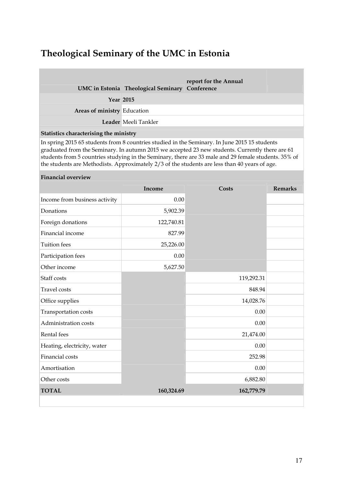### **Theological Seminary of the UMC in Estonia**

|                                                                                                     | UMC in Estonia Theological Seminary Conference | report for the Annual |  |
|-----------------------------------------------------------------------------------------------------|------------------------------------------------|-----------------------|--|
| <b>Year 2015</b>                                                                                    |                                                |                       |  |
| Areas of ministry Education                                                                         |                                                |                       |  |
|                                                                                                     | Leader Meeli Tankler                           |                       |  |
| Statistics characterising the ministry                                                              |                                                |                       |  |
| Le service = $2015$ CF students from 0 countries studied in the Consiners. Le Lune 2015 15 students |                                                |                       |  |

In spring 2015 65 students from 8 countries studied in the Seminary. In June 2015 15 students graduated from the Seminary. In autumn 2015 we accepted 23 new students. Currently there are 61 students from 5 countries studying in the Seminary, there are 33 male and 29 female students. 35% of the students are Methodists. Approximately 2/3 of the students are less than 40 years of age.

#### **Financial overview**

|                               | Income     | <b>Costs</b> | <b>Remarks</b> |
|-------------------------------|------------|--------------|----------------|
| Income from business activity | 0.00       |              |                |
| Donations                     | 5,902.39   |              |                |
| Foreign donations             | 122,740.81 |              |                |
| Financial income              | 827.99     |              |                |
| <b>Tuition</b> fees           | 25,226.00  |              |                |
| Participation fees            | 0.00       |              |                |
| Other income                  | 5,627.50   |              |                |
| Staff costs                   |            | 119,292.31   |                |
| <b>Travel</b> costs           |            | 848.94       |                |
| Office supplies               |            | 14,028.76    |                |
| Transportation costs          |            | 0.00         |                |
| Administration costs          |            | 0.00         |                |
| Rental fees                   |            | 21,474.00    |                |
| Heating, electricity, water   |            | 0.00         |                |
| Financial costs               |            | 252.98       |                |
| Amortisation                  |            | 0.00         |                |
| Other costs                   |            | 6,882.80     |                |
| <b>TOTAL</b>                  | 160,324.69 | 162,779.79   |                |
|                               |            |              |                |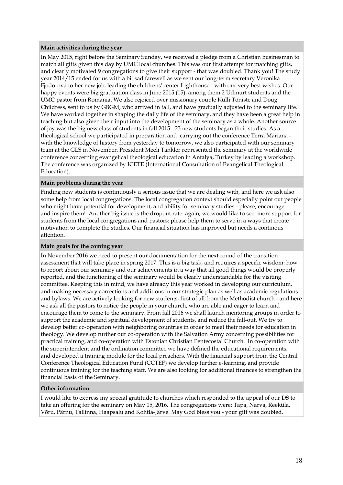#### **Main activities during the year**

In May 2015, right before the Seminary Sunday, we received a pledge from a Christian businesman to match all gifts given this day by UMC local churches. This was our first attempt for matching gifts, and clearly motivated 9 congregations to give their support - that was doubled. Thank you! The study year 2014/15 ended for us with a bit sad farewell as we sent our long-term secretary Veronika Fjodorova to her new job, leading the childrens' center Lighthouse - with our very best wishes. Our happy events were big graduation class in June 2015 (15), among them 2 Udmurt students and the UMC pastor from Romania. We also rejoiced over missionary couple Külli Tõniste and Doug Childress, sent to us by GBGM, who arrived in fall, and have gradually adjusted to the seminary life. We have worked together in shaping the daily life of the seminary, and they have been a great help in teaching but also given their input into the development of the seminary as a whole. Another source of joy was the big new class of students in fall 2015 - 23 new students began their studies. As a theological school we participated in preparation and carrying out the conference Terra Mariana with the knowledge of history from yesterday to tomorrow, we also participated with our seminary team at the GLS in November. President Meeli Tankler represented the seminary at the worldwide conference concerning evangelical theological education in Antalya, Turkey by leading a workshop. The conference was organized by ICETE (International Consultation of Evangelical Theological Education).

#### **Main problems during the year**

Finding new students is continuously a serious issue that we are dealing with, and here we ask also some help from local congregations. The local congregation context should especially point out people who might have potential for development, and ability for seminary studies - please, encourage and inspire them! Another big issue is the dropout rate: again, we would like to see more support for students from the local congregations and pastors: please help them to serve in a ways that create motivation to complete the studies. Our financial situation has improved but needs a continous attention.

#### **Main goals for the coming year**

In November 2016 we need to present our documentation for the next round of the transition assessment that will take place in spring 2017. This is a big task, and requires a specific wisdom: how to report about our seminary and our achievements in a way that all good things would be properly reported, and the functioning of the seminary would be clearly understandable for the visiting committee. Keeping this in mind, we have already this year worked in developing our curriculum, and making necessary corrections and additions in our strategic plan as well as academic regulations and bylaws. We are actively looking for new students, first of all from the Methodist church - and here we ask all the pastors to notice the people in your church, who are able and eager to learn and encourage them to come to the seminary. From fall 2016 we shall launch mentoring groups in order to support the academic and spiritual development of students, and reduce the fall-out. We try to develop better co-operation with neighboring countries in order to meet their needs for education in theology. We develop further our co-operation with the Salvation Army concerning possibilities for practical training, and co-operation with Estonian Christian Pentecostal Church. In co-operation with the superintendent and the ordination committee we have defined the educational requirements, and developed a training module for the local preachers. With the financial support from the Central Conference Theological Education Fund (CCTEF) we develop further e-learning, and provide continuous training for the teaching staff. We are also looking for additional finances to strengthen the financial basis of the Seminary.

#### **Other information**

I would like to express my special gratitude to churches which responded to the appeal of our DS to take an offering for the seminary on May 15, 2016. The congregations were: Tapa, Narva, Reeküla, Võru, Pärnu, Tallinna, Haapsalu and Kohtla-Järve. May God bless you - your gift was doubled.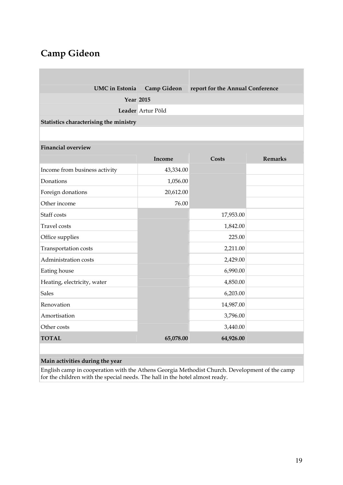## **Camp Gideon**

| <b>UMC</b> in Estonia                  | <b>Camp Gideon</b> | report for the Annual Conference |                |
|----------------------------------------|--------------------|----------------------------------|----------------|
| <b>Year 2015</b>                       |                    |                                  |                |
|                                        | Leader Artur Põld  |                                  |                |
| Statistics characterising the ministry |                    |                                  |                |
|                                        |                    |                                  |                |
| <b>Financial overview</b>              |                    |                                  |                |
|                                        | Income             | Costs                            | <b>Remarks</b> |
| Income from business activity          | 43,334.00          |                                  |                |
| Donations                              | 1,056.00           |                                  |                |
| Foreign donations                      | 20,612.00          |                                  |                |
| Other income                           | 76.00              |                                  |                |
| Staff costs                            |                    | 17,953.00                        |                |
| Travel costs                           |                    | 1,842.00                         |                |
| Office supplies                        |                    | 225.00                           |                |
| Transportation costs                   |                    | 2,211.00                         |                |
| Administration costs                   |                    | 2,429.00                         |                |
| Eating house                           |                    | 6,990.00                         |                |
| Heating, electricity, water            |                    | 4,850.00                         |                |
| <b>Sales</b>                           |                    | 6,203.00                         |                |
| Renovation                             |                    | 14,987.00                        |                |
| Amortisation                           |                    | 3,796.00                         |                |
| Other costs                            |                    | 3,440.00                         |                |
| <b>TOTAL</b>                           | 65,078.00          | 64,926.00                        |                |

### **Main activities during the year**

English camp in cooperation with the Athens Georgia Methodist Church. Development of the camp for the children with the special needs. The hall in the hotel almost ready.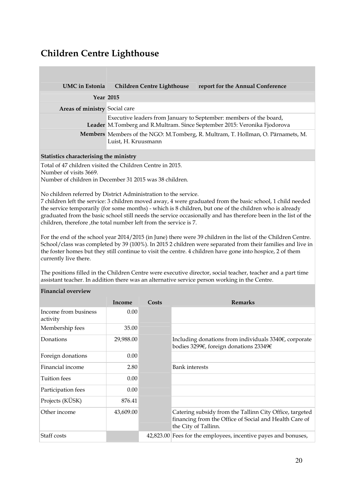## **Children Centre Lighthouse**

| <b>UMC</b> in Estonia         | <b>Children Centre Lighthouse</b>                                                                      | report for the Annual Conference                                         |
|-------------------------------|--------------------------------------------------------------------------------------------------------|--------------------------------------------------------------------------|
|                               | <b>Year 2015</b>                                                                                       |                                                                          |
| Areas of ministry Social care |                                                                                                        |                                                                          |
|                               | Executive leaders from January to September: members of the board,                                     | Leader M.Tomberg and R.Multram. Since September 2015: Veronika Fjodorova |
|                               | Members Members of the NGO: M.Tomberg, R. Multram, T. Hollman, O. Pärnamets, M.<br>Luist, H. Kruusmann |                                                                          |

#### **Statistics characterising the ministry**

Total of 47 children visited the Children Centre in 2015.

Number of visits 3669.

Number of children in December 31 2015 was 38 children.

No children referred by District Administration to the service.

7 children left the service: 3 children moved away, 4 were graduated from the basic school, 1 child needed the service temporarily (for some months) - which is 8 children, but one of the children who is already graduated from the basic school still needs the service occasionally and has therefore been in the list of the children, therefore ,the total number left from the service is 7.

For the end of the school year 2014/2015 (in June) there were 39 children in the list of the Children Centre. School/class was completed by 39 (100%). In 2015 2 children were separated from their families and live in the foster homes but they still continue to visit the centre. 4 children have gone into hospice, 2 of them currently live there.

The positions filled in the Children Centre were executive director, social teacher, teacher and a part time assistant teacher. In addition there was an alternative service person working in the Centre.

#### **Financial overview**

|                                  | Income    | Costs | <b>Remarks</b>                                                                                                                            |
|----------------------------------|-----------|-------|-------------------------------------------------------------------------------------------------------------------------------------------|
| Income from business<br>activity | 0.00      |       |                                                                                                                                           |
| Membership fees                  | 35.00     |       |                                                                                                                                           |
| Donations                        | 29,988.00 |       | Including donations from individuals $3340\epsilon$ , corporate<br>bodies 3299€, foreign donations 23349€                                 |
| Foreign donations                | 0.00      |       |                                                                                                                                           |
| Financial income                 | 2.80      |       | <b>Bank</b> interests                                                                                                                     |
| Tuition fees                     | 0.00      |       |                                                                                                                                           |
| Participation fees               | 0.00      |       |                                                                                                                                           |
| Projects (KÜSK)                  | 876.41    |       |                                                                                                                                           |
| Other income                     | 43,609.00 |       | Catering subsidy from the Tallinn City Office, targeted<br>financing from the Office of Social and Health Care of<br>the City of Tallinn. |
| Staff costs                      |           |       | 42,823.00 Fees for the employees, incentive payes and bonuses,                                                                            |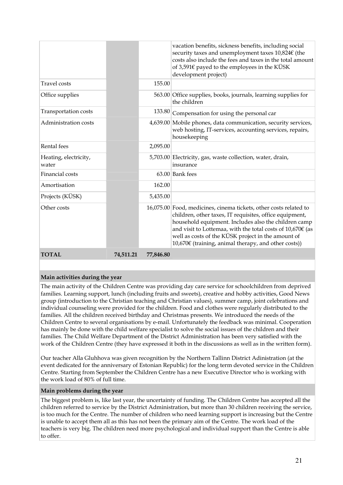|                                |           |           | vacation benefits, sickness benefits, including social<br>security taxes and unemployment taxes 10,824€ (the<br>costs also include the fees and taxes in the total amount<br>of 3,591 $\epsilon$ payed to the employees in the KÜSK<br>development project)                                                                                                           |
|--------------------------------|-----------|-----------|-----------------------------------------------------------------------------------------------------------------------------------------------------------------------------------------------------------------------------------------------------------------------------------------------------------------------------------------------------------------------|
| <b>Travel</b> costs            |           | 155.00    |                                                                                                                                                                                                                                                                                                                                                                       |
| Office supplies                |           |           | 563.00 Office supplies, books, journals, learning supplies for<br>the children                                                                                                                                                                                                                                                                                        |
| Transportation costs           |           | 133.80    | Compensation for using the personal car                                                                                                                                                                                                                                                                                                                               |
| Administration costs           |           |           | 4,639.00 Mobile phones, data communication, security services,<br>web hosting, IT-services, accounting services, repairs,<br>housekeeping                                                                                                                                                                                                                             |
| Rental fees                    |           | 2,095.00  |                                                                                                                                                                                                                                                                                                                                                                       |
| Heating, electricity,<br>water |           |           | 5,703.00 Electricity, gas, waste collection, water, drain,<br>insurance                                                                                                                                                                                                                                                                                               |
| Financial costs                |           |           | $63.00$ Bank fees                                                                                                                                                                                                                                                                                                                                                     |
| Amortisation                   |           | 162.00    |                                                                                                                                                                                                                                                                                                                                                                       |
| Projects (KÜSK)                |           | 5,435.00  |                                                                                                                                                                                                                                                                                                                                                                       |
| Other costs                    |           |           | 16,075.00 Food, medicines, cinema tickets, other costs related to<br>children, other taxes, IT requisites, office equipment,<br>household equipment. Includes also the children camp<br>and visit to Lottemaa, with the total costs of $10,670 \in (as$<br>well as costs of the KÜSK project in the amount of<br>10,670€ (training, animal therapy, and other costs)) |
| <b>TOTAL</b>                   | 74,511.21 | 77,846.80 |                                                                                                                                                                                                                                                                                                                                                                       |

#### **Main activities during the year**

The main activity of the Children Centre was providing day care service for schoolchildren from deprived families. Learning support, lunch (including fruits and sweets), creative and hobby activities, Good News group (introduction to the Christian teaching and Christian values), summer camp, joint celebrations and individual counseling were provided for the children. Food and clothes were regularly distributed to the families. All the children received birthday and Christmas presents. We introduced the needs of the Children Centre to several organisations by e-mail. Unfortunately the feedback was minimal. Cooperation has mainly be done with the child welfare specialist to solve the social issues of the children and their families. The Child Welfare Department of the District Administration has been very satisfied with the work of the Children Centre (they have expressed it both in the discussions as well as in the written form).

Our teacher Alla Gluhhova was given recognition by the Northern Tallinn District Adinistration (at the event dedicated for the anniversary of Estonian Republic) for the long term devoted service in the Children Centre. Starting from September the Children Centre has a new Executive Director who is working with the work load of 80% of full time.

#### **Main problems during the year**

The biggest problem is, like last year, the uncertainty of funding. The Children Centre has accepted all the children referred to service by the District Administration, but more than 30 children receiving the service, is too much for the Centre. The number of children who need learning support is increasing but the Centre is unable to accept them all as this has not been the primary aim of the Centre. The work load of the teachers is very big. The children need more psychological and individual support than the Centre is able to offer.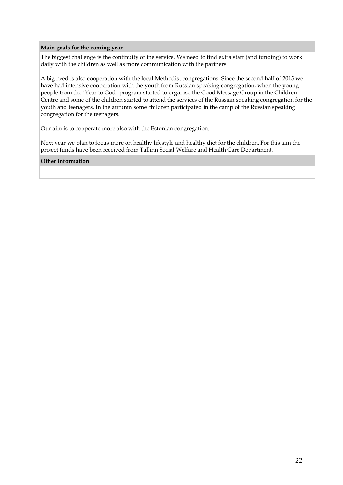#### **Main goals for the coming year**

The biggest challenge is the continuity of the service. We need to find extra staff (and funding) to work daily with the children as well as more communication with the partners.

A big need is also cooperation with the local Methodist congregations. Since the second half of 2015 we have had intensive cooperation with the youth from Russian speaking congregation, when the young people from the "Year to God" program started to organise the Good Message Group in the Children Centre and some of the children started to attend the services of the Russian speaking congregation for the youth and teenagers. In the autumn some children participated in the camp of the Russian speaking congregation for the teenagers.

Our aim is to cooperate more also with the Estonian congregation.

Next year we plan to focus more on healthy lifestyle and healthy diet for the children. For this aim the project funds have been received from Tallinn Social Welfare and Health Care Department.

#### **Other information**

-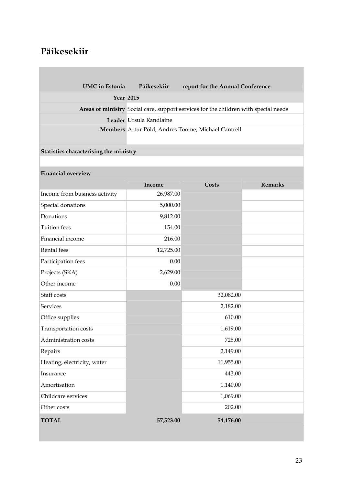## **Päikesekiir**

| <b>UMC</b> in Estonia | Päikesekiir                                        | report for the Annual Conference                                                    |
|-----------------------|----------------------------------------------------|-------------------------------------------------------------------------------------|
| Year 2015             |                                                    |                                                                                     |
|                       |                                                    | Areas of ministry Social care, support services for the children with special needs |
|                       | Leader Ursula Randlaine                            |                                                                                     |
|                       | Members Artur Põld, Andres Toome, Michael Cantrell |                                                                                     |
|                       |                                                    |                                                                                     |

### **Statistics characterising the ministry**

### **Financial overview**

|                               | Income    | <b>Costs</b> | <b>Remarks</b> |
|-------------------------------|-----------|--------------|----------------|
| Income from business activity | 26,987.00 |              |                |
| Special donations             | 5,000.00  |              |                |
| Donations                     | 9,812.00  |              |                |
| <b>Tuition</b> fees           | 154.00    |              |                |
| Financial income              | 216.00    |              |                |
| Rental fees                   | 12,725.00 |              |                |
| Participation fees            | 0.00      |              |                |
| Projects (SKA)                | 2,629.00  |              |                |
| Other income                  | 0.00      |              |                |
| Staff costs                   |           | 32,082.00    |                |
| <b>Services</b>               |           | 2,182.00     |                |
| Office supplies               |           | 610.00       |                |
| Transportation costs          |           | 1,619.00     |                |
| Administration costs          |           | 725.00       |                |
| Repairs                       |           | 2,149.00     |                |
| Heating, electricity, water   |           | 11,955.00    |                |
| Insurance                     |           | 443.00       |                |
| Amortisation                  |           | 1,140.00     |                |
| Childcare services            |           | 1,069.00     |                |
| Other costs                   |           | 202.00       |                |
| <b>TOTAL</b>                  | 57,523.00 | 54,176.00    |                |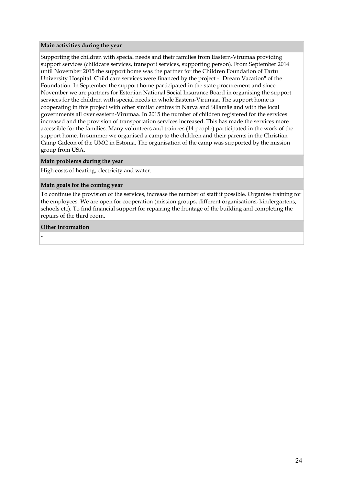#### **Main activities during the year**

Supporting the children with special needs and their families from Eastern-Virumaa providing support services (childcare services, transport services, supporting person). From September 2014 until November 2015 the support home was the partner for the Children Foundation of Tartu University Hospital. Child care services were financed by the project - "Dream Vacation" of the Foundation. In September the support home participated in the state procurement and since November we are partners for Estonian National Social Insurance Board in organising the support services for the children with special needs in whole Eastern-Virumaa. The support home is cooperating in this project with other similar centres in Narva and Sillamäe and with the local governments all over eastern-Virumaa. In 2015 the number of children registered for the services increased and the provision of transportation services increased. This has made the services more accessible for the families. Many volunteers and trainees (14 people) participated in the work of the support home. In summer we organised a camp to the children and their parents in the Christian Camp Gideon of the UMC in Estonia. The organisation of the camp was supported by the mission group from USA.

#### **Main problems during the year**

High costs of heating, electricity and water.

#### **Main goals for the coming year**

To continue the provision of the services, increase the number of staff if possible. Organise training for the employees. We are open for cooperation (mission groups, different organisations, kindergartens, schools etc). To find financial support for repairing the frontage of the building and completing the repairs of the third room.

#### **Other information**

-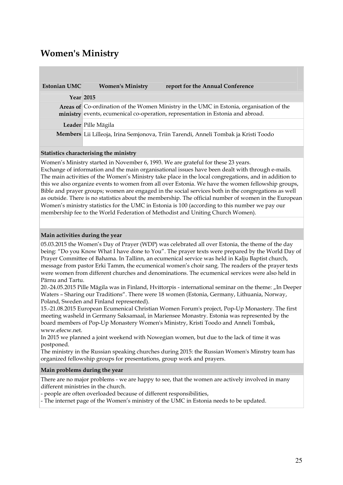### **Women's Ministry**

| <b>Estonian UMC</b> | <b>Women's Ministry</b> | report for the Annual Conference                                                                                                                                           |
|---------------------|-------------------------|----------------------------------------------------------------------------------------------------------------------------------------------------------------------------|
|                     | <b>Year 2015</b>        |                                                                                                                                                                            |
|                     |                         | Areas of Co-ordination of the Women Ministry in the UMC in Estonia, organisation of the<br>ministry events, ecumenical co-operation, representation in Estonia and abroad. |
|                     | Leader Pille Mägila     |                                                                                                                                                                            |
|                     |                         | <b>Members</b> Lii Lilleoja, Irina Semjonova, Triin Tarendi, Anneli Tombak ja Kristi Toodo                                                                                 |

#### **Statistics characterising the ministry**

Women's Ministry started in November 6, 1993. We are grateful for these 23 years. Exchange of information and the main organisational issues have been dealt with through e-mails. The main activities of the Women's Ministry take place in the local congregations, and in addition to this we also organize events to women from all over Estonia. We have the women fellowship groups, Bible and prayer groups; women are engaged in the social services both in the congregations as well as outside. There is no statistics about the membership. The official number of women in the European Women's ministry statistics for the UMC in Estonia is 100 (according to this number we pay our membership fee to the World Federation of Methodist and Uniting Church Women).

#### **Main activities during the year**

05.03.2015 the Women's Day of Prayer (WDP) was celebrated all over Estonia, the theme of the day being: "Do you Know What I have done to You". The prayer texts were prepared by the World Day of Prayer Committee of Bahama. In Tallinn, an ecumenical service was held in Kalju Baptist church, message from pastor Erki Tamm, the ecumenical women's choir sang. The readers of the prayer texts were women from different churches and denominations. The ecumenical services were also held in Pärnu and Tartu.

20.-24.05.2015 Pille Mägila was in Finland, Hvittorpis - international seminar on the theme: "In Deeper Waters – Sharing our Traditions". There were 18 women (Estonia, Germany, Lithuania, Norway, Poland, Sweden and Finland represented).

15.-21.08.2015 European Ecumenical Christian Women Forum's project, Pop-Up Monastery. The first meeting washeld in Germany Saksamaal, in Mariensee Monastry. Estonia was represented by the board members of Pop-Up Monastery Women's Ministry, Kristi Toodo and Anneli Tombak, www.efecw.net.

In 2015 we planned a joint weekend with Nowegian women, but due to the lack of time it was postponed.

The ministry in the Russian speaking churches during 2015: the Russian Women's Minstry team has organized fellowship groups for presentations, group work and prayers.

#### **Main problems during the year**

There are no major problems - we are happy to see, that the women are actively involved in many different ministries in the church.

- people are often overloaded because of different responsibilities,

- The internet page of the Women's ministry of the UMC in Estonia needs to be updated.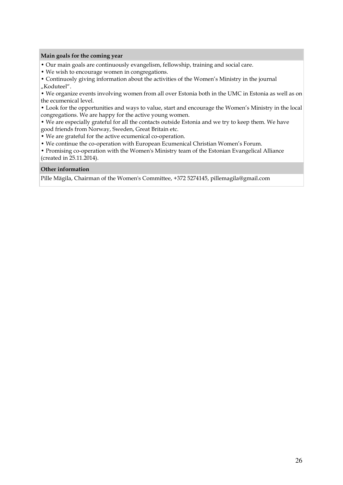#### **Main goals for the coming year**

- Our main goals are continuously evangelism, fellowship, training and social care.
- We wish to encourage women in congregations.

• Continuosly giving information about the activities of the Women's Ministry in the journal "Koduteel".

• We organize events involving women from all over Estonia both in the UMC in Estonia as well as on the ecumenical level.

• Look for the opportunities and ways to value, start and encourage the Women's Ministry in the local congregations. We are happy for the active young women.

• We are especially grateful for all the contacts outside Estonia and we try to keep them. We have good friends from Norway, Sweden, Great Britain etc.

• We are grateful for the active ecumenical co-operation.

• We continue the co-operation with European Ecumenical Christian Women's Forum.

• Promising co-operation with the Women's Ministry team of the Estonian Evangelical Alliance (created in 25.11.2014).

#### **Other information**

Pille Mägila, Chairman of the Women's Committee, +372 5274145, pillemagila@gmail.com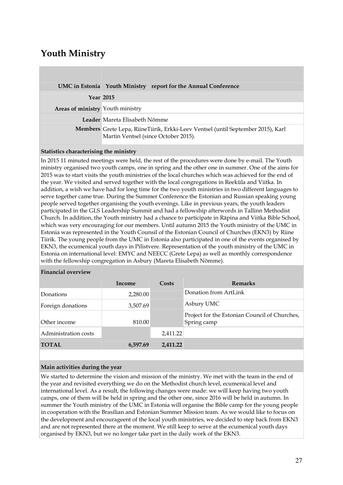## **Youth Ministry**

|                                  | UMC in Estonia Youth Ministry report for the Annual Conference                                                           |
|----------------------------------|--------------------------------------------------------------------------------------------------------------------------|
|                                  | <b>Year 2015</b>                                                                                                         |
| Areas of ministry Youth ministry |                                                                                                                          |
|                                  | Leader Mareta Elisabeth Nõmme                                                                                            |
|                                  | Members Grete Lepa, RiineTiirik, Erkki-Leev Ventsel (until September 2015), Karl<br>Martin Ventsel (since October 2015). |

#### **Statistics characterising the ministry**

In 2015 11 minuted meetings were held, the rest of the procedures were done by e-mail. The Youth ministry organised two youth camps, one in spring and the other one in summer. One of the aims for 2015 was to start visits the youth ministries of the local churches which was achieved for the end of the year. We visited and served together with the local congregations in Reeküla and Viitka. In addition, a wish we have had for long time for the two youth ministries in two different languages to serve together came true. During the Summer Conference the Estonian and Russian speaking young people served together organising the youth evenings. Like in previous years, the youth leaders participated in the GLS Leadership Summit and had a fellowship afterwords in Tallinn Methodist Church. In addition, the Youth ministry had a chance to participate in Räpina and Viitka Bible School, which was very encouraging for our members. Until autumn 2015 the Youth ministry of the UMC in Estonia was represented in the Youth Counsil of the Estonian Council of Churches (EKN3) by Riine Tiirik. The young people from the UMC in Estonia also participated in one of the events organised by EKN3, the ecumenical youth days in Pilistvere. Representation of the youth ministry of the UMC in Estonia on international level: EMYC and NEECC (Grete Lepa) as well as monthly correspondence with the fellowship congregation in Asbury (Mareta Elisabeth Nõmme).

#### **Financial overview**

|                      | Income   | Costs    | <b>Remarks</b>                                               |
|----------------------|----------|----------|--------------------------------------------------------------|
| Donations            | 2,280.00 |          | Donation from ArtLink                                        |
| Foreign donations    | 3,507.69 |          | Asbury UMC                                                   |
| Other income         | 810.00   |          | Project for the Estonian Council of Churches,<br>Spring camp |
| Administration costs |          | 2,411.22 |                                                              |
| <b>TOTAL</b>         | 6,597.69 | 2.411.22 |                                                              |

#### **Main activities during the year**

We started to determine the vision and mission of the ministry. We met with the team in the end of the year and revisited everything we do on the Methodist church level, ecumenical level and international level. As a result, the following changes were made: we will keep having two youth camps, one of them will be held in spring and the other one, since 2016 will be held in autumn. In summer the Youth ministry of the UMC in Estonia will organise the Bible camp for the young people in cooperation with the Brasilian and Estonian Summer Mission team. As we would like to focus on the development and encourageent of the local youth ministries, we decided to step back from EKN3 and are not represented there at the moment. We still keep to serve at the ecumenical youth days organised by EKN3, but we no longer take part in the daily work of the EKN3.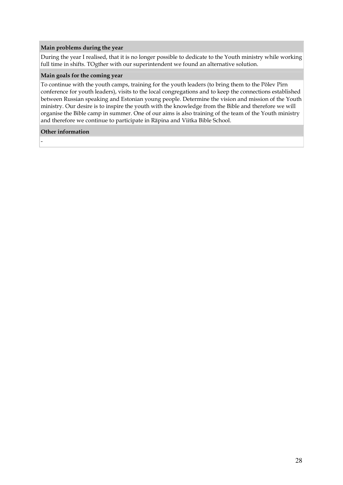#### **Main problems during the year**

During the year I realised, that it is no longer possible to dedicate to the Youth ministry while working full time in shifts. TOgther with our superintendent we found an alternative solution.

#### **Main goals for the coming year**

To continue with the youth camps, training for the youth leaders (to bring them to the Põlev Pirn conference for youth leaders), visits to the local congregations and to keep the connections established between Russian speaking and Estonian young people. Determine the vision and mission of the Youth ministry. Our desire is to inspire the youth with the knowledge from the Bible and therefore we will organise the Bible camp in summer. One of our aims is also training of the team of the Youth ministry and therefore we continue to participate in Räpina and Viitka Bible School.

#### **Other information**

-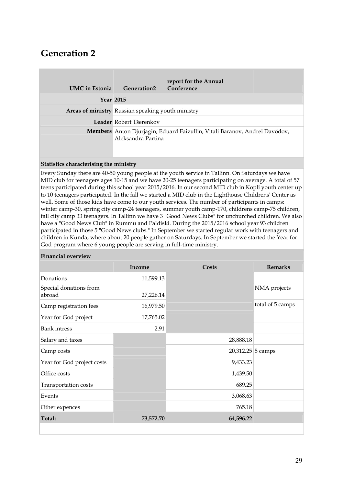## **Generation 2**

| <b>UMC</b> in Estonia | <b>Generation2</b>                                                                               | report for the Annual<br>Conference |  |
|-----------------------|--------------------------------------------------------------------------------------------------|-------------------------------------|--|
|                       | <b>Year 2015</b>                                                                                 |                                     |  |
|                       | Areas of ministry Russian speaking youth ministry                                                |                                     |  |
|                       | Leader Robert Tšerenkov                                                                          |                                     |  |
|                       | Members Anton Djurjagin, Eduard Faizullin, Vitali Baranov, Andrei Davõdov,<br>Aleksandra Partina |                                     |  |

#### **Statistics characterising the ministry**

Every Sunday there are 40-50 young people at the youth service in Tallinn. On Saturdays we have MID club for teenagers ages 10-15 and we have 20-25 teenagers participating on average. A total of 57 teens participated during this school year 2015/2016. In our second MID club in Kopli youth center up to 10 teenagers participated. In the fall we started a MID club in the Lighthouse Childrens' Center as well. Some of those kids have come to our youth services. The number of participants in camps: winter camp-30, spring city camp-24 teenagers, summer youth camp-170, childrens camp-75 children, fall city camp 33 teenagers. In Tallinn we have 3 "Good News Clubs" for unchurched children. We also have a "Good News Club" in Rummu and Paldiski. During the 2015/2016 school year 93 children participated in those 5 "Good News clubs." In September we started regular work with teenagers and children in Kunda, where about 20 people gather on Saturdays. In September we started the Year for God program where 6 young people are serving in full-time ministry.

#### **Financial overview**

|                                  | Income    | Costs             | <b>Remarks</b>   |
|----------------------------------|-----------|-------------------|------------------|
| Donations                        | 11,599.13 |                   |                  |
| Special donations from<br>abroad | 27,226.14 |                   | NMA projects     |
| Camp registration fees           | 16,979.50 |                   | total of 5 camps |
| Year for God project             | 17,765.02 |                   |                  |
| <b>Bank</b> intress              | 2.91      |                   |                  |
| Salary and taxes                 |           | 28,888.18         |                  |
| Camp costs                       |           | 20,312.25 5 camps |                  |
| Year for God project costs       |           | 9,433.23          |                  |
| Office costs                     |           | 1,439.50          |                  |
| Transportation costs             |           | 689.25            |                  |
| Events                           |           | 3,068.63          |                  |
| Other expences                   |           | 765.18            |                  |
| Total:                           | 73,572.70 | 64,596.22         |                  |
|                                  |           |                   |                  |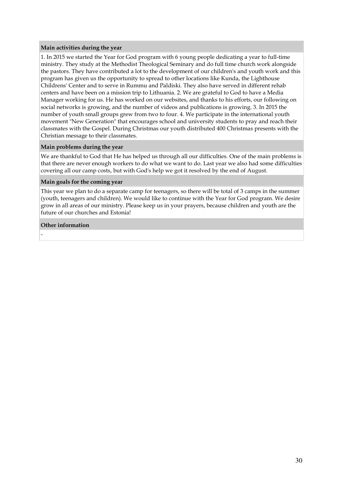#### **Main activities during the year**

1. In 2015 we started the Year for God program with 6 young people dedicating a year to full-time ministry. They study at the Methodist Theological Seminary and do full time church work alongside the pastors. They have contributed a lot to the development of our children's and youth work and this program has given us the opportunity to spread to other locations like Kunda, the Lighthouse Childrens' Center and to serve in Rummu and Paldiski. They also have served in different rehab centers and have been on a mission trip to Lithuania. 2. We are grateful to God to have a Media Manager working for us. He has worked on our websites, and thanks to his efforts, our following on social networks is growing, and the number of videos and publications is growing. 3. In 2015 the number of youth small groups grew from two to four. 4. We participate in the international youth movement "New Generation" that encourages school and university students to pray and reach their classmates with the Gospel. During Christmas our youth distributed 400 Christmas presents with the Christian message to their classmates.

#### **Main problems during the year**

We are thankful to God that He has helped us through all our difficulties. One of the main problems is that there are never enough workers to do what we want to do. Last year we also had some difficulties covering all our camp costs, but with God's help we got it resolved by the end of August.

#### **Main goals for the coming year**

This year we plan to do a separate camp for teenagers, so there will be total of 3 camps in the summer (youth, teenagers and children). We would like to continue with the Year for God program. We desire grow in all areas of our ministry. Please keep us in your prayers, because children and youth are the future of our churches and Estonia!

#### **Other information**

-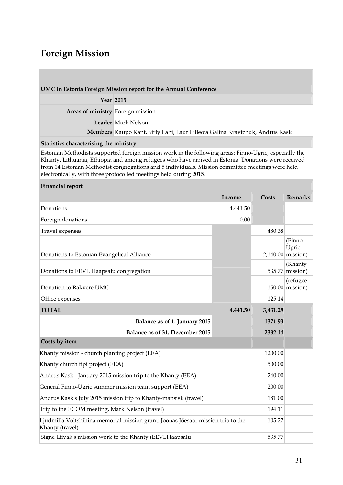### **Foreign Mission**

#### **UMC in Estonia Foreign Mission report for the Annual Conference**

|                                   | <b>Year 2015</b>                                                            |
|-----------------------------------|-----------------------------------------------------------------------------|
| Areas of ministry Foreign mission |                                                                             |
|                                   | Leader Mark Nelson                                                          |
|                                   | Members Kaupo Kant, Sirly Lahi, Laur Lilleoja Galina Kravtchuk, Andrus Kask |
|                                   |                                                                             |

#### **Statistics characterising the ministry**

Estonian Methodists supported foreign mission work in the following areas: Finno-Ugric, especially the Khanty, Lithuania, Ethiopia and among refugees who have arrived in Estonia. Donations were received from 14 Estonian Methodist congregations and 5 individuals. Mission committee meetings were held electronically, with three protocolled meetings held during 2015.

#### **Financial report**

|                                                                                                     | Income   | Costs    | <b>Remarks</b>                          |
|-----------------------------------------------------------------------------------------------------|----------|----------|-----------------------------------------|
| Donations                                                                                           | 4,441.50 |          |                                         |
| Foreign donations                                                                                   | 0.00     |          |                                         |
| Travel expenses                                                                                     |          | 480.38   |                                         |
| Donations to Estonian Evangelical Alliance                                                          |          |          | (Finno-<br>Ugric<br>$2,140.00$ mission) |
| Donations to EEVL Haapsalu congregation                                                             |          | 535.77   | (Khanty<br>mission)                     |
| Donation to Rakvere UMC                                                                             |          |          | (refugee<br>$150.00$ mission)           |
| Office expenses                                                                                     |          | 125.14   |                                         |
| <b>TOTAL</b>                                                                                        | 4,441.50 | 3,431.29 |                                         |
| Balance as of 1. January 2015                                                                       |          | 1371.93  |                                         |
| Balance as of 31. December 2015                                                                     |          | 2382.14  |                                         |
| Costs by item                                                                                       |          |          |                                         |
| Khanty mission - church planting project (EEA)                                                      |          | 1200.00  |                                         |
| Khanty church tipi project (EEA)                                                                    |          | 500.00   |                                         |
| Andrus Kask - January 2015 mission trip to the Khanty (EEA)                                         |          | 240.00   |                                         |
| General Finno-Ugric summer mission team support (EEA)                                               |          |          |                                         |
| Andrus Kask's July 2015 mission trip to Khanty-mansisk (travel)                                     |          |          |                                         |
| Trip to the ECOM meeting, Mark Nelson (travel)                                                      |          |          |                                         |
| Ljudmilla Voltshihina memorial mission grant: Joonas Jõesaar mission trip to the<br>Khanty (travel) |          | 105.27   |                                         |
| Signe Liivak's mission work to the Khanty (EEVLHaapsalu                                             |          | 535.77   |                                         |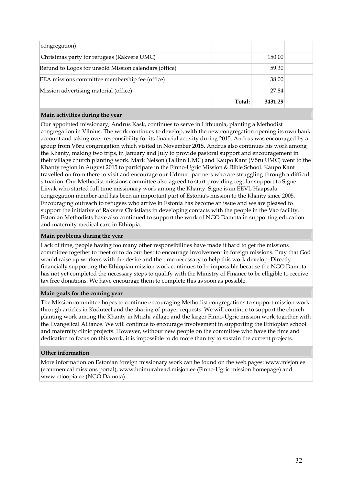| congregation)                                         |        |         |        |
|-------------------------------------------------------|--------|---------|--------|
| Christmas party for refugees (Rakvere UMC)            |        |         | 150.00 |
| Refund to Logos for unsold Mission calendars (office) |        |         | 59.30  |
| EEA missions committee membership fee (office)        |        | 38.00   |        |
| Mission advertising material (office)                 |        | 27.84   |        |
|                                                       | Total: | 3431.29 |        |

#### **Main activities during the year**

Our appointed missionary, Andrus Kask, continues to serve in Lithuania, planting a Methodist congregation in Vilnius. The work continues to develop, with the new congregation opening its own bank account and taking over responsibility for its financial activity during 2015. Andrus was encouraged by a group from Võru congregation which visited in November 2015. Andrus also continues his work among the Khanty, making two trips, in January and July to provide pastoral support and encouragement in their village church planting work. Mark Nelson (Tallinn UMC) and Kaupo Kant (Võru UMC) went to the Khanty region in August 2015 to participate in the Finno-Ugric Mission & Bible School. Kaupo Kant travelled on from there to visit and encourage our Udmurt partners who are struggling through a difficult situation. Our Methodist missions committee also agreed to start providing regular support to Signe Liivak who started full time missionary work among the Khanty. Signe is an EEVL Haapsalu congregation member and has been an important part of Estonia's mission to the Khanty since 2005. Encouraging outreach to refugees who arrive in Estonia has become an issue and we are pleased to support the initiative of Rakvere Christians in developing contacts with the people in the Vao facility. Estonian Methodists have also continued to support the work of NGO Damota in supporting education and maternity medical care in Ethiopia.

#### **Main problems during the year**

Lack of time, people having too many other responsibilities have made it hard to get the missions committee together to meet or to do our best to encourage involvement in foreign missions. Pray that God would raise up workers with the desire and the time necessary to help this work develop. Directly financially supporting the Ethiopian mission work continues to be impossible because the NGO Damota has not yet completed the necessary steps to qualify with the Ministry of Finance to be elligible to receive tax free donations. We have encourage them to complete this as soon as possible.

#### **Main goals for the coming year**

The Mission committee hopes to continue encouraging Methodist congregations to support mission work through articles in Koduteel and the sharing of prayer requests. We will continue to support the church planting work among the Khanty in Muzhi village and the larger Finno-Ugric mission work together with the Evangelical Alliance. We will continue to encourage involvement in supporting the Ethiopian school and maternity clinic projects. However, without new people on the committee who have the time and dedication to focus on this work, it is impossible to do more than try to sustain the current projects.

#### **Other information**

More information on Estonian foreign missionary work can be found on the web pages: www.misjon.ee (eccumenical missions portal), www.hoimurahvad.misjon.ee (Finno-Ugric mission homepage) and www.etioopia.ee (NGO Damota).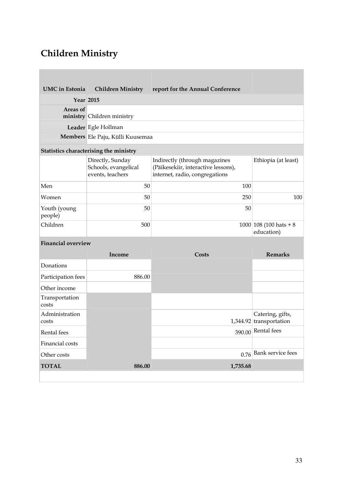# **Children Ministry**

| UMC in Estonia          | <b>Children Ministry</b>                                     | report for the Annual Conference                                                                       |                                                |
|-------------------------|--------------------------------------------------------------|--------------------------------------------------------------------------------------------------------|------------------------------------------------|
| <b>Year 2015</b>        |                                                              |                                                                                                        |                                                |
| Areas of                | ministry Children ministry                                   |                                                                                                        |                                                |
|                         | Leader Egle Hollman                                          |                                                                                                        |                                                |
|                         | Members Ele Paju, Külli Kuusemaa                             |                                                                                                        |                                                |
|                         | Statistics characterising the ministry                       |                                                                                                        |                                                |
|                         | Directly, Sunday<br>Schools, evangelical<br>events, teachers | Indirectly (through magazines<br>(Päikesekiir, interactive lessons),<br>internet, radio, congregations | Ethiopia (at least)                            |
| Men                     | 50                                                           | 100                                                                                                    |                                                |
| Women                   | 50                                                           | 250                                                                                                    | 100                                            |
| Youth (young<br>people) | 50                                                           | 50                                                                                                     |                                                |
| Children                | 500                                                          |                                                                                                        | $1000 108(100 \text{ hats} + 8)$<br>education) |

### **Financial overview**

|                         | Income | Costs    | <b>Remarks</b>                                |
|-------------------------|--------|----------|-----------------------------------------------|
| Donations               |        |          |                                               |
| Participation fees      | 886.00 |          |                                               |
| Other income            |        |          |                                               |
| Transportation<br>costs |        |          |                                               |
| Administration<br>costs |        |          | Catering, gifts,<br>$1,344.92$ transportation |
| Rental fees             |        |          | $390.00$ Rental fees                          |
| Financial costs         |        |          |                                               |
| Other costs             |        |          | $0.76$ Bank service fees                      |
| <b>TOTAL</b>            | 886.00 | 1,735.68 |                                               |
|                         |        |          |                                               |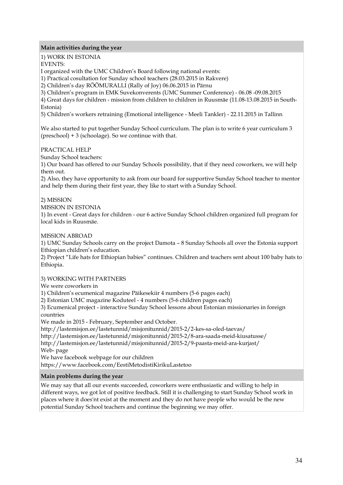#### **Main activities during the year**

1) WORK IN ESTONIA

EVENTS:

I organized with the UMC Children's Board following national events:

1) Practical cosultation for Sunday school teachers (28.03.2015 in Rakvere)

2) Children's day RÕÕMURALLI (Rally of Joy) 06.06.2015 in Pärnu

3) Children's program in EMK Suvekonverents (UMC Summer Conference) - 06.08 -09.08.2015

4) Great days for children - mission from children to children in Ruusmäe (11.08-13.08.2015 in South-Estonia)

5) Children's workers retraining (Emotional intelligence - Meeli Tankler) - 22.11.2015 in Tallinn

We also started to put together Sunday School curriculum. The plan is to write 6 year curriculum 3 (preschool) + 3 (schoolage). So we continue with that.

PRACTICAL HELP

Sunday School teachers:

1) Our board has offered to our Sunday Schools possibility, that if they need coworkers, we will help them out.

2) Also, they have opportunity to ask from our board for supportive Sunday School teacher to mentor and help them during their first year, they like to start with a Sunday School.

#### 2) MISSION

MISSION IN ESTONIA

1) In event - Great days for children - our 6 active Sunday School children organized full program for local kids in Ruusmäe.

MISSION ABROAD

1) UMC Sunday Schools carry on the project Damota – 8 Sunday Schools all over the Estonia support Ethiopian children's education.

2) Project "Life hats for Ethiopian babies" continues. Children and teachers sent about 100 baby hats to Ethiopia.

#### 3) WORKING WITH PARTNERS

We were coworkers in

1) Children's ecumenical magazine Päikesekiir 4 numbers (5-6 pages each)

2) Estonian UMC magazine Koduteel - 4 numbers (5-6 children pages each)

3) Ecumenical project - interactive Sunday School lessons about Estonian missionaries in foreign countries

We made in 2015 - February, September and October.

http://lastemisjon.ee/lastetunnid/misjonitunnid/2015-2/2-kes-sa-oled-taevas/

http://lastemisjon.ee/lastetunnid/misjonitunnid/2015-2/8-ara-saada-meid-kiusatusse/

http://lastemisjon.ee/lastetunnid/misjonitunnid/2015-2/9-paasta-meid-ara-kurjast/

Web- page

We have facebook webpage for our children

https://www.facebook.com/EestiMetodistiKirikuLastetoo

#### **Main problems during the year**

We may say that all our events succeeded, coworkers were enthusiastic and willing to help in different ways, we got lot of positive feedback. Still it is challenging to start Sunday School work in places where it does'nt exist at the moment and they do not have people who would be the new potential Sunday School teachers and continue the beginning we may offer.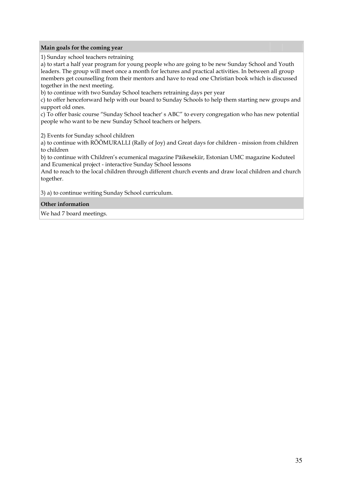#### **Main goals for the coming year**

1) Sunday school teachers retraining

a) to start a half year program for young people who are going to be new Sunday School and Youth leaders. The group will meet once a month for lectures and practical activities. In between all group members get counselling from their mentors and have to read one Christian book which is discussed together in the next meeting.

b) to continue with two Sunday School teachers retraining days per year

c) to offer henceforward help with our board to Sunday Schools to help them starting new groups and support old ones.

c) To offer basic course "Sunday School teacher' s ABC" to every congregation who has new potential people who want to be new Sunday School teachers or helpers.

2) Events for Sunday school children

a) to continue with RÕÕMURALLI (Rally of Joy) and Great days for children - mission from children to children

b) to continue with Children's ecumenical magazine Päikesekiir, Estonian UMC magazine Koduteel and Ecumenical project - interactive Sunday School lessons

And to reach to the local children through different church events and draw local children and church together.

3) a) to continue writing Sunday School curriculum.

#### **Other information**

We had 7 board meetings.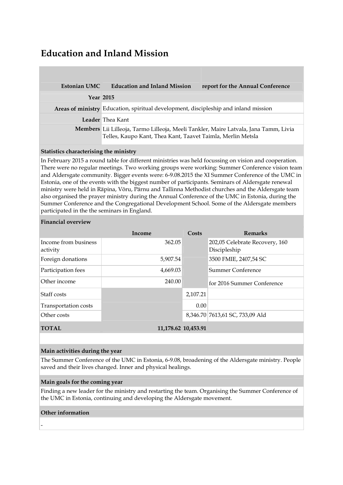### **Education and Inland Mission**

| Estonian UMC | <b>Education and Inland Mission</b>                                                                                                                 | report for the Annual Conference |  |
|--------------|-----------------------------------------------------------------------------------------------------------------------------------------------------|----------------------------------|--|
|              | <b>Year 2015</b>                                                                                                                                    |                                  |  |
|              | Areas of ministry Education, spiritual development, discipleship and inland mission                                                                 |                                  |  |
|              | Leader Thea Kant                                                                                                                                    |                                  |  |
|              | Members Lii Lilleoja, Tarmo Lilleoja, Meeli Tankler, Maire Latvala, Jana Tamm, Livia<br>Telles, Kaupo Kant, Thea Kant, Taavet Taimla, Merlin Metsla |                                  |  |

#### **Statistics characterising the ministry**

In February 2015 a round table for different ministries was held focussing on vision and cooperation. There were no regular meetings. Two working groups were working: Summer Conference vision team and Aldersgate community. Bigger events were: 6-9.08.2015 the XI Summer Conference of the UMC in Estonia, one of the events with the biggest number of participants. Seminars of Aldersgate renewal ministry were held in Räpina, Võru, Pärnu and Tallinna Methodist churches and the Aldersgate team also organised the prayer ministry during the Annual Conference of the UMC in Estonia, during the Summer Conference and the Congregational Development School. Some of the Aldersgate members participated in the the seminars in England.

#### **Financial overview**

|                                  | Income              | Costs    | <b>Remarks</b>                                 |
|----------------------------------|---------------------|----------|------------------------------------------------|
| Income from business<br>activity | 362.05              |          | 202,05 Celebrate Recovery, 160<br>Discipleship |
| Foreign donations                | 5,907.54            |          | 3500 FMIE, 2407,54 SC                          |
| Participation fees               | 4,669.03            |          | Summer Conference                              |
| Other income                     | 240.00              |          | for 2016 Summer Conference                     |
| Staff costs                      |                     | 2,107.21 |                                                |
| Transportation costs             |                     | 0.00     |                                                |
| Other costs                      |                     |          | 8,346.70 7613,61 SC, 733,09 Ald                |
| <b>TOTAL</b>                     | 11,178.62 10,453.91 |          |                                                |

#### **Main activities during the year**

The Summer Conference of the UMC in Estonia, 6-9.08, broadening of the Aldersgate ministry. People saved and their lives changed. Inner and physical healings.

#### **Main goals for the coming year**

Finding a new leader for the ministry and restarting the team. Organising the Summer Conference of the UMC in Estonia, continuing and developing the Aldersgate movement.

#### **Other information**

-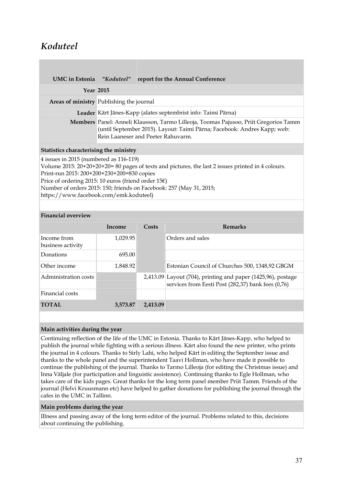## *Koduteel*

|                                                                                                                                                                                       |                                                                                                                                                                                                        | UMC in Estonia "Koduteel" report for the Annual Conference                                                                                                               |  |
|---------------------------------------------------------------------------------------------------------------------------------------------------------------------------------------|--------------------------------------------------------------------------------------------------------------------------------------------------------------------------------------------------------|--------------------------------------------------------------------------------------------------------------------------------------------------------------------------|--|
| <b>Year 2015</b>                                                                                                                                                                      |                                                                                                                                                                                                        |                                                                                                                                                                          |  |
| Areas of ministry Publishing the journal                                                                                                                                              |                                                                                                                                                                                                        |                                                                                                                                                                          |  |
|                                                                                                                                                                                       |                                                                                                                                                                                                        | Leader Kärt Jänes-Kapp (alates septembrist info: Taimi Pärna)                                                                                                            |  |
|                                                                                                                                                                                       | Members Panel: Anneli Klausson, Tarmo Lilleoja, Toomas Pajusoo, Priit Gregorios Tamm<br>(until September 2015). Layout: Taimi Pärna; Facebook: Andres Kapp; web:<br>Rein Laaneser and Peeter Rahuvarm. |                                                                                                                                                                          |  |
| <b>Statistics characterising the ministry</b>                                                                                                                                         |                                                                                                                                                                                                        |                                                                                                                                                                          |  |
| 4 issues in 2015 (numbered as 116-119)<br>Print-run 2015: 200+200+230+200=830 copies<br>Price of ordering 2015: 10 euros (friend order 15€)<br>https://www.facebook.com/emk.koduteel) |                                                                                                                                                                                                        | Volume 2015: 20+20+20+20= 80 pages of texts and pictures, the last 2 issues printed in 4 colours.<br>Number of orders 2015: 150; friends on Facebook: 257 (May 31, 2015; |  |
|                                                                                                                                                                                       |                                                                                                                                                                                                        |                                                                                                                                                                          |  |

#### **Financial overview**

|                                  | Income   | Costs    | <b>Remarks</b>                                                                                                       |
|----------------------------------|----------|----------|----------------------------------------------------------------------------------------------------------------------|
| Income from<br>business activity | 1,029.95 |          | Orders and sales                                                                                                     |
| Donations                        | 695.00   |          |                                                                                                                      |
| Other income                     | 1,848.92 |          | Estonian Council of Churches 500, 1348,92 GBGM                                                                       |
| Administration costs             |          |          | $2,413.09$ Layout (704), printing and paper (1425,96), postage<br>services from Eesti Post (282,37) bank fees (0,76) |
| Financial costs                  |          |          |                                                                                                                      |
| <b>TOTAL</b>                     | 3,573.87 | 2,413.09 |                                                                                                                      |

#### **Main activities during the year**

Continuing reflection of the life of the UMC in Estonia. Thanks to Kärt Jänes-Kapp, who helped to publish the journal while fighting with a serious illness. Kärt also found the new printer, who prints the journal in 4 colours. Thanks to Sirly Lahi, who helped Kärt in editing the September issue and thanks to the whole panel and the superintendent Taavi Hollman, who have made it possible to continue the publishing of the journal. Thanks to Tarmo Lilleoja (for editing the Christmas issue) and Inna Väljale (for participation and linguistic assistence). Continuing thanks to Egle Hollman, who takes care of the kids pages. Great thanks for the long term panel member Priit Tamm. Friends of the journal (Helvi Kruusmann etc) have helped to gather donations for publishing the journal through the cafes in the UMC in Tallinn.

#### **Main problems during the year**

Illness and passing away of the long term editor of the journal. Problems related to this, decisions about continuing the publishing.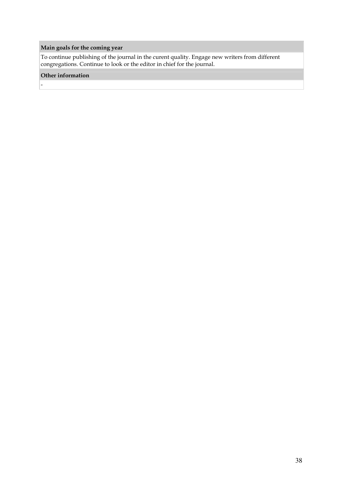### **Main goals for the coming year**

To continue publishing of the journal in the curent quality. Engage new writers from different congregations. Continue to look or the editor in chief for the journal.

#### **Other information**

-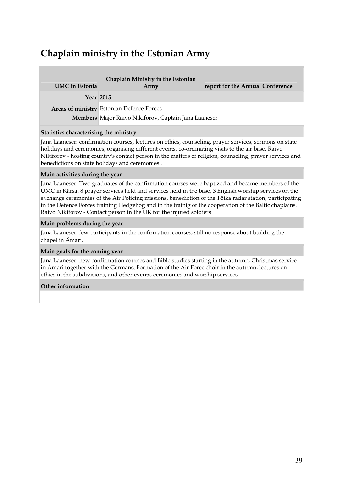## **Chaplain ministry in the Estonian Army**

| Army                                                 | report for the Annual Conference |
|------------------------------------------------------|----------------------------------|
| <b>Year 2015</b>                                     |                                  |
| Areas of ministry Estonian Defence Forces            |                                  |
| Members Major Raivo Nikiforov, Captain Jana Laaneser |                                  |
|                                                      |                                  |

#### **Statistics characterising the ministry**

Jana Laaneser: confirmation courses, lectures on ethics, counseling, prayer services, sermons on state holidays and ceremonies, organising different events, co-ordinating visits to the air base. Raivo Nikiforov - hosting country's contact person in the matters of religion, counseling, prayer services and benedictions on state holidays and ceremonies..

#### **Main activities during the year**

Jana Laaneser: Two graduates of the confirmation courses were baptized and became members of the UMC in Kärsa. 8 prayer services held and services held in the base, 3 English worship services on the exchange ceremonies of the Air Policing missions, benediction of the Tõika radar station, participating in the Defence Forces training Hedgehog and in the trainig of the cooperation of the Baltic chaplains. Raivo Nikiforov - Contact person in the UK for the injured soldiers

#### **Main problems during the year**

Jana Laaneser: few participants in the confirmation courses, still no response about building the chapel in Ämari.

#### **Main goals for the coming year**

Jana Laaneser: new confirmation courses and Bible studies starting in the autumn, Christmas service in Ämari together with the Germans. Formation of the Air Force choir in the autumn, lectures on ethics in the subdivisions, and other events, ceremonies and worship services.

#### **Other information**

-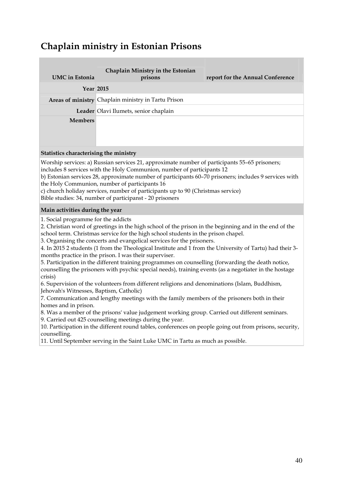## **Chaplain ministry in Estonian Prisons**

| <b>UMC</b> in Estonia | Chaplain Ministry in the Estonian<br>prisons        | report for the Annual Conference |
|-----------------------|-----------------------------------------------------|----------------------------------|
|                       | <b>Year 2015</b>                                    |                                  |
|                       | Areas of ministry Chaplain ministry in Tartu Prison |                                  |
|                       | Leader Olavi Ilumets, senior chaplain               |                                  |
| <b>Members</b>        |                                                     |                                  |
|                       |                                                     |                                  |
|                       |                                                     |                                  |

#### **Statistics characterising the ministry**

Worship services: a) Russian services 21, approximate number of participants 55–65 prisoners; includes 8 services with the Holy Communion, number of participants 12

b) Estonian services 28, approximate number of participants 60–70 prisoners; includes 9 services with the Holy Communion, number of participants 16

c) church holiday services, number of participants up to 90 (Christmas service)

Bible studies: 34, number of participanst - 20 prisoners

#### **Main activities during the year**

1. Social programme for the addicts

2. Christian word of greetings in the high school of the prison in the beginning and in the end of the school term. Christmas service for the high school students in the prison chapel.

3. Organising the concerts and evangelical services for the prisoners.

4. In 2015 2 students (1 from the Theological Institute and 1 from the University of Tartu) had their 3 months practice in the prison. I was their superviser.

5. Participation in the different training programmes on counselling (forwarding the death notice, counselling the prisoners with psychic special needs), training events (as a negotiater in the hostage crisis)

6. Supervision of the volunteers from different religions and denominations (Islam, Buddhism, Jehovah's Witnesses, Baptism, Catholic)

7. Communication and lengthy meetings with the family members of the prisoners both in their homes and in prison.

8. Was a member of the prisons' value judgement working group. Carried out different seminars.

9. Carried out 425 counselling meetings during the year.

10. Participation in the different round tables, conferences on people going out from prisons, security, counselling.

11. Until September serving in the Saint Luke UMC in Tartu as much as possible.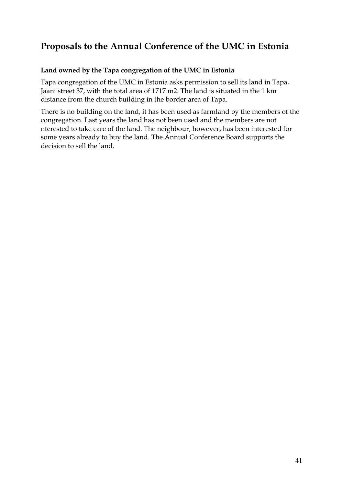### **Proposals to the Annual Conference of the UMC in Estonia**

### **Land owned by the Tapa congregation of the UMC in Estonia**

Tapa congregation of the UMC in Estonia asks permission to sell its land in Tapa, Jaani street 37, with the total area of 1717 m2. The land is situated in the 1 km distance from the church building in the border area of Tapa.

There is no building on the land, it has been used as farmland by the members of the congregation. Last years the land has not been used and the members are not nterested to take care of the land. The neighbour, however, has been interested for some years already to buy the land. The Annual Conference Board supports the decision to sell the land.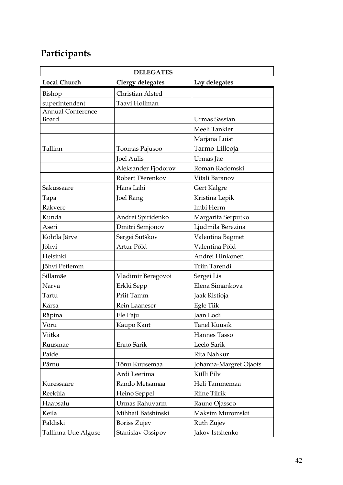# **Participants**

| <b>DELEGATES</b>         |                         |                        |  |  |
|--------------------------|-------------------------|------------------------|--|--|
| <b>Local Church</b>      | <b>Clergy delegates</b> | Lay delegates          |  |  |
| Bishop                   | Christian Alsted        |                        |  |  |
| superintendent           | Taavi Hollman           |                        |  |  |
| <b>Annual Conference</b> |                         |                        |  |  |
| Board                    |                         | Urmas Sassian          |  |  |
|                          |                         | Meeli Tankler          |  |  |
|                          |                         | Marjana Luist          |  |  |
| Tallinn                  | Toomas Pajusoo          | Tarmo Lilleoja         |  |  |
|                          | <b>Joel Aulis</b>       | Urmas Jäe              |  |  |
|                          | Aleksander Fjodorov     | Roman Radomski         |  |  |
|                          | Robert Tšerenkov        | Vitali Baranov         |  |  |
| Sakussaare               | Hans Lahi               | Gert Kalgre            |  |  |
| Tapa                     | <b>Joel Rang</b>        | Kristina Lepik         |  |  |
| Rakvere                  |                         | Imbi Herm              |  |  |
| Kunda                    | Andrei Spiridenko       | Margarita Serputko     |  |  |
| Aseri                    | Dmitri Semjonov         | Ljudmila Berezina      |  |  |
| Kohtla Järve             | Sergei Sutškov          | Valentina Bagmet       |  |  |
| Jõhvi                    | Artur Põld              | Valentina Põld         |  |  |
| Helsinki                 |                         | Andrei Hinkonen        |  |  |
| Jõhvi Petlemm            |                         | Triin Tarendi          |  |  |
| Sillamäe                 | Vladimir Beregovoi      | Sergei Lis             |  |  |
| Narva                    | Erkki Sepp              | Elena Simankova        |  |  |
| Tartu                    | Priit Tamm              | Jaak Ristioja          |  |  |
| Kärsa                    | Rein Laaneser           | Egle Tiik              |  |  |
| Räpina                   | Ele Paju                | Jaan Lodi              |  |  |
| Võru                     | Kaupo Kant              | <b>Tanel Kuusik</b>    |  |  |
| Viitka                   |                         | Hannes Tasso           |  |  |
| Ruusmäe                  | Enno Sarik              | Leelo Sarik            |  |  |
| Paide                    |                         | Rita Nahkur            |  |  |
| Pärnu                    | Tõnu Kuusemaa           | Johanna-Margret Ojaots |  |  |
|                          | Ardi Leerima            | Külli Pilv             |  |  |
| Kuressaare               | Rando Metsamaa          | Heli Tammemaa          |  |  |
| Reeküla                  | Heino Seppel            | <b>Riine Tiirik</b>    |  |  |
| Haapsalu                 | Urmas Rahuvarm          | Rauno Ojassoo          |  |  |
| Keila                    | Mihhail Batshinski      | Maksim Muromskii       |  |  |
| Paldiski                 | Boriss Zujev            | Ruth Zujev             |  |  |
| Tallinna Uue Alguse      | Stanislav Ossipov       | Jakov Istshenko        |  |  |